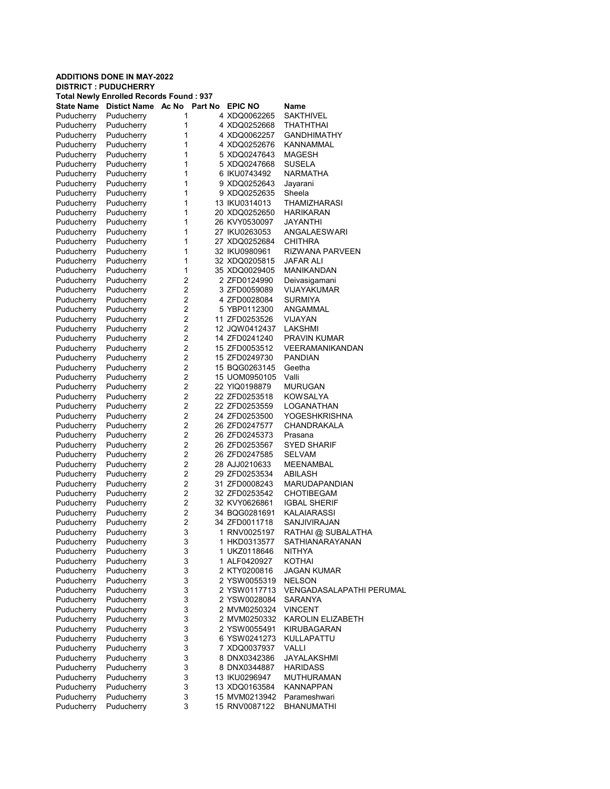| <b>Total Newly Enrolled Records Found: 937</b> |                            |                |  |                |                                 |  |  |  |
|------------------------------------------------|----------------------------|----------------|--|----------------|---------------------------------|--|--|--|
| State Name                                     | Distict Name Ac No Part No |                |  | <b>EPIC NO</b> | <b>Name</b>                     |  |  |  |
| Puducherry                                     | Puducherry                 | 1              |  | 4 XDQ0062265   | <b>SAKTHIVEL</b>                |  |  |  |
| Puducherry                                     | Puducherry                 | 1              |  | 4 XDQ0252668   | THATHTHAI                       |  |  |  |
| Puducherry                                     | Puducherry                 | 1              |  | 4 XDQ0062257   | <b>GANDHIMATHY</b>              |  |  |  |
| Puducherry                                     | Puducherry                 | 1              |  | 4 XDQ0252676   | <b>KANNAMMAL</b>                |  |  |  |
| Puducherry                                     | Puducherry                 | 1              |  | 5 XDQ0247643   | MAGESH                          |  |  |  |
| Puducherry                                     | Puducherry                 | 1              |  | 5 XDQ0247668   | SUSELA                          |  |  |  |
| Puducherry                                     | Puducherry                 | 1              |  | 6 IKU0743492   | <b>NARMATHA</b>                 |  |  |  |
| Puducherry                                     | Puducherry                 | 1              |  | 9 XDQ0252643   | Jayarani                        |  |  |  |
| Puducherry                                     | Puducherry                 | 1              |  | 9 XDQ0252635   | Sheela                          |  |  |  |
| Puducherry                                     | Puducherry                 | 1              |  | 13 IKU0314013  | <b>THAMIZHARASI</b>             |  |  |  |
|                                                |                            | 1              |  | 20 XDQ0252650  | <b>HARIKARAN</b>                |  |  |  |
| Puducherry                                     | Puducherry                 |                |  |                |                                 |  |  |  |
| Puducherry                                     | Puducherry                 | 1              |  | 26 KVY0530097  | JAYANTHI                        |  |  |  |
| Puducherry                                     | Puducherry                 | 1              |  | 27 IKU0263053  | ANGALAESWARI                    |  |  |  |
| Puducherry                                     | Puducherry                 | 1              |  | 27 XDQ0252684  | CHITHRA                         |  |  |  |
| Puducherry                                     | Puducherry                 | 1              |  | 32 IKU0980961  | <b>RIZWANA PARVEEN</b>          |  |  |  |
| Puducherry                                     | Puducherry                 | 1              |  | 32 XDQ0205815  | JAFAR ALI                       |  |  |  |
| Puducherry                                     | Puducherry                 | 1              |  | 35 XDQ0029405  | MANIKANDAN                      |  |  |  |
| Puducherry                                     | Puducherry                 | $\overline{2}$ |  | 2 ZFD0124990   | Deivasigamani                   |  |  |  |
| Puducherry                                     | Puducherry                 | $\overline{2}$ |  | 3 ZFD0059089   | <b>VIJAYAKUMAR</b>              |  |  |  |
| Puducherry                                     | Puducherry                 | $\overline{2}$ |  | 4 ZFD0028084   | <b>SURMIYA</b>                  |  |  |  |
| Puducherry                                     | Puducherry                 | $\overline{2}$ |  | 5 YBP0112300   | ANGAMMAL                        |  |  |  |
| Puducherry                                     | Puducherry                 | $\overline{2}$ |  | 11 ZFD0253526  | VIJAYAN                         |  |  |  |
| Puducherry                                     | Puducherry                 | $\overline{2}$ |  | 12 JQW0412437  | LAKSHMI                         |  |  |  |
| Puducherry                                     | Puducherry                 | $\overline{2}$ |  | 14 ZFD0241240  | <b>PRAVIN KUMAR</b>             |  |  |  |
| Puducherry                                     | Puducherry                 | $\overline{2}$ |  | 15 ZFD0053512  | <b>VEERAMANIKANDAN</b>          |  |  |  |
| Puducherry                                     | Puducherry                 | $\overline{2}$ |  | 15 ZFD0249730  | <b>PANDIAN</b>                  |  |  |  |
| Puducherry                                     | Puducherry                 | $\overline{2}$ |  | 15 BQG0263145  | Geetha                          |  |  |  |
| Puducherry                                     | Puducherry                 | $\overline{2}$ |  | 15 UOM0950105  | Valli                           |  |  |  |
| Puducherry                                     | Puducherry                 | $\overline{2}$ |  | 22 YIQ0198879  | <b>MURUGAN</b>                  |  |  |  |
| Puducherry                                     | Puducherry                 | 2              |  | 22 ZFD0253518  | <b>KOWSALYA</b>                 |  |  |  |
| Puducherry                                     | Puducherry                 | $\overline{2}$ |  | 22 ZFD0253559  | LOGANATHAN                      |  |  |  |
| Puducherry                                     | Puducherry                 | $\overline{2}$ |  | 24 ZFD0253500  | YOGESHKRISHNA                   |  |  |  |
| Puducherry                                     | Puducherry                 | $\overline{2}$ |  | 26 ZFD0247577  | CHANDRAKALA                     |  |  |  |
| Puducherry                                     | Puducherry                 | $\overline{2}$ |  | 26 ZFD0245373  | Prasana                         |  |  |  |
| Puducherry                                     | Puducherry                 | $\overline{2}$ |  | 26 ZFD0253567  | <b>SYED SHARIF</b>              |  |  |  |
|                                                | Puducherry                 | $\overline{2}$ |  |                | <b>SELVAM</b>                   |  |  |  |
| Puducherry                                     |                            | $\overline{2}$ |  | 26 ZFD0247585  |                                 |  |  |  |
| Puducherry                                     | Puducherry                 |                |  | 28 AJJ0210633  | MEENAMBAL                       |  |  |  |
| Puducherry                                     | Puducherry                 | 2              |  | 29 ZFD0253534  | ABILASH                         |  |  |  |
| Puducherry                                     | Puducherry                 | 2              |  | 31 ZFD0008243  | MARUDAPANDIAN                   |  |  |  |
| Puducherry                                     | Puducherry                 | $\overline{2}$ |  | 32 ZFD0253542  | CHOTIBEGAM                      |  |  |  |
| Puducherry                                     | Puducherry                 | $\overline{2}$ |  | 32 KVY0626861  | <b>IGBAL SHERIF</b>             |  |  |  |
| Puducherry                                     | Puducherry                 | 2              |  | 34 BQG0281691  | KALAIARASSI                     |  |  |  |
| Puducherry                                     | Puducherry                 | $\overline{2}$ |  | 34 ZFD0011718  | <b>SANJIVIRAJAN</b>             |  |  |  |
| Puducherry                                     | Puducherry                 | 3              |  | 1 RNV0025197   | RATHAI @ SUBALATHA              |  |  |  |
| Puducherry                                     | Puducherry                 | 3              |  | 1 HKD0313577   | SATHIANARAYANAN                 |  |  |  |
| Puducherry                                     | Puducherry                 | 3              |  | 1 UKZ0118646   | <b>NITHYA</b>                   |  |  |  |
| Puducherry                                     | Puducherry                 | 3              |  | 1 ALF0420927   | <b>KOTHAI</b>                   |  |  |  |
| Puducherry                                     | Puducherry                 | 3              |  | 2 KTY0200816   | <b>JAGAN KUMAR</b>              |  |  |  |
| Puducherry                                     | Puducherry                 | 3              |  | 2 YSW0055319   | <b>NELSON</b>                   |  |  |  |
| Puducherry                                     | Puducherry                 | 3              |  | 2 YSW0117713   | <b>VENGADASALAPATHI PERUMAL</b> |  |  |  |
| Puducherry                                     | Puducherry                 | 3              |  | 2 YSW0028084   | SARANYA                         |  |  |  |
| Puducherry                                     | Puducherry                 | 3              |  | 2 MVM0250324   | <b>VINCENT</b>                  |  |  |  |
| Puducherry                                     | Puducherry                 | 3              |  | 2 MVM0250332   | KAROLIN ELIZABETH               |  |  |  |
| Puducherry                                     | Puducherry                 | 3              |  | 2 YSW0055491   | KIRUBAGARAN                     |  |  |  |
| Puducherry                                     | Puducherry                 | 3              |  | 6 YSW0241273   | KULLAPATTU                      |  |  |  |
| Puducherry                                     | Puducherry                 | 3              |  | 7 XDQ0037937   | <b>VALLI</b>                    |  |  |  |
| Puducherry                                     | Puducherry                 | 3              |  | 8 DNX0342386   | JAYALAKSHMI                     |  |  |  |
| Puducherry                                     | Puducherry                 | 3              |  | 8 DNX0344887   | <b>HARIDASS</b>                 |  |  |  |
| Puducherry                                     | Puducherry                 | 3              |  | 13 IKU0296947  | <b>MUTHURAMAN</b>               |  |  |  |
| Puducherry                                     | Puducherry                 | 3              |  | 13 XDQ0163584  | <b>KANNAPPAN</b>                |  |  |  |
|                                                |                            |                |  |                |                                 |  |  |  |
| Puducherry                                     | Puducherry                 | 3              |  | 15 MVM0213942  | Parameshwari                    |  |  |  |
| Puducherry                                     | Puducherry                 | 3              |  | 15 RNV0087122  | <b>BHANUMATHI</b>               |  |  |  |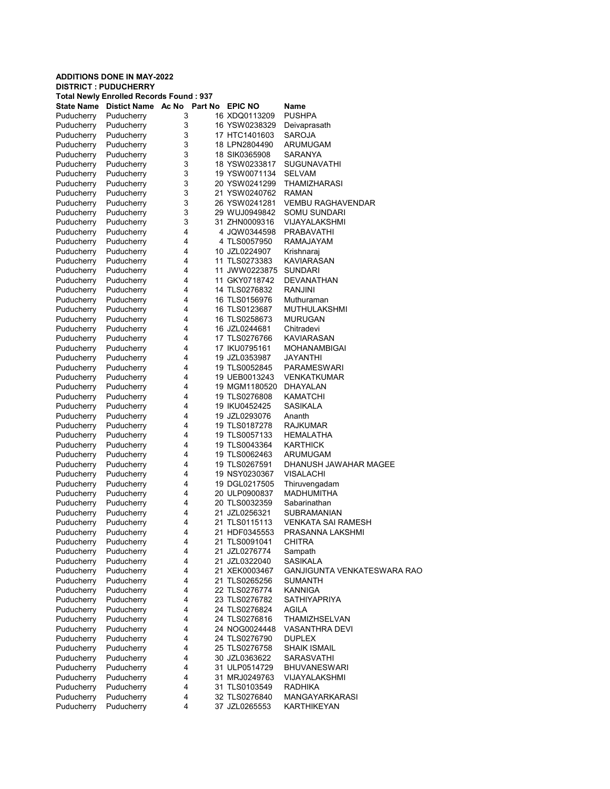# ADDITIONS DONE IN MAY-2022 DISTRICT : PUDUCHERRY Total Newly Enrolled Records Found : 937 State Name Distict Name Ac No Part No EPIC NO Name Puducherry Puducherry 3 16 XDQ0113209 PUSHPA Puducherry Puducherry 3 16 YSW0238329 Deivaprasath Puducherry Puducherry 3 17 HTC1401603 SAROJA Puducherry Puducherry 3 18 LPN2804490 ARUMUGAM Puducherry Puducherry 3 18 SIK0365908 SARANYA Puducherry Puducherry 3 18 YSW0233817 SUGUNAVATHI Puducherry Puducherry 3 19 YSW0071134 SELVAM Puducherry Puducherry 3 20 YSW0241299 THAMIZHARASI Puducherry Puducherry 3 21 YSW0240762 RAMAN Puducherry Puducherry 3 26 YSW0241281 VEMBU RAGHAVENDAR Puducherry Puducherry 3 29 WUJ0949842 SOMU SUNDARI Puducherry Puducherry 3 31 ZHN0009316 VIJAYALAKSHMI

| Puducherry | Puducherry | 4 |    | 4 JQW0344598  | PRABAVATHI                  |
|------------|------------|---|----|---------------|-----------------------------|
| Puducherry | Puducherry | 4 |    | 4 TLS0057950  | RAMAJAYAM                   |
| Puducherry | Puducherry | 4 |    | 10 JZL0224907 | Krishnaraj                  |
| Puducherry | Puducherry | 4 |    | 11 TLS0273383 | <b>KAVIARASAN</b>           |
| Puducherry | Puducherry | 4 |    | 11 JWW0223875 | <b>SUNDARI</b>              |
| Puducherry | Puducherry | 4 | 11 | GKY0718742    | <b>DEVANATHAN</b>           |
| Puducherry | Puducherry | 4 |    | 14 TLS0276832 | RANJINI                     |
| Puducherry | Puducherry | 4 |    | 16 TLS0156976 | Muthuraman                  |
| Puducherry | Puducherry | 4 |    | 16 TLS0123687 | MUTHULAKSHMI                |
| Puducherry | Puducherry | 4 |    | 16 TLS0258673 | <b>MURUGAN</b>              |
| Puducherry | Puducherry | 4 |    | 16 JZL0244681 | Chitradevi                  |
| Puducherry | Puducherry | 4 |    | 17 TLS0276766 | <b>KAVIARASAN</b>           |
| Puducherry | Puducherry | 4 |    | 17 IKU0795161 | <b>MOHANAMBIGAI</b>         |
| Puducherry | Puducherry | 4 |    | 19 JZL0353987 | JAYANTHI                    |
| Puducherry | Puducherry | 4 |    | 19 TLS0052845 | PARAMESWARI                 |
| Puducherry | Puducherry | 4 |    | 19 UEB0013243 | VENKATKUMAR                 |
| Puducherry | Puducherry | 4 |    | 19 MGM1180520 | DHAYALAN                    |
| Puducherry | Puducherry | 4 |    | 19 TLS0276808 | <b>KAMATCHI</b>             |
| Puducherry | Puducherry | 4 |    | 19 IKU0452425 | <b>SASIKALA</b>             |
| Puducherry | Puducherry | 4 |    | 19 JZL0293076 | Ananth                      |
| Puducherry | Puducherry | 4 |    | 19 TLS0187278 | <b>RAJKUMAR</b>             |
| Puducherry | Puducherry | 4 |    | 19 TLS0057133 | HEMALATHA                   |
| Puducherry | Puducherry | 4 |    | 19 TLS0043364 | <b>KARTHICK</b>             |
| Puducherry | Puducherry | 4 |    | 19 TLS0062463 | ARUMUGAM                    |
| Puducherry | Puducherry | 4 |    | 19 TLS0267591 | DHANUSH JAWAHAR MAGEE       |
| Puducherry | Puducherry | 4 |    | 19 NSY0230367 | <b>VISALACHI</b>            |
| Puducherry | Puducherry | 4 |    | 19 DGL0217505 | Thiruvengadam               |
| Puducherry | Puducherry | 4 |    | 20 ULP0900837 | <b>MADHUMITHA</b>           |
| Puducherry | Puducherry | 4 |    | 20 TLS0032359 | Sabarinathan                |
| Puducherry | Puducherry | 4 |    | 21 JZL0256321 | SUBRAMANIAN                 |
| Puducherry | Puducherry | 4 |    | 21 TLS0115113 | VENKATA SAI RAMESH          |
| Puducherry | Puducherry | 4 |    | 21 HDF0345553 | PRASANNA LAKSHMI            |
| Puducherry | Puducherry | 4 |    | 21 TLS0091041 | <b>CHITRA</b>               |
| Puducherry | Puducherry | 4 |    | 21 JZL0276774 | Sampath                     |
| Puducherry | Puducherry | 4 |    | 21 JZL0322040 | <b>SASIKALA</b>             |
| Puducherry | Puducherry | 4 |    | 21 XEK0003467 | GANJIGUNTA VENKATESWARA RAO |
| Puducherry | Puducherry | 4 |    | 21 TLS0265256 | SUMANTH                     |
| Puducherry | Puducherry | 4 |    | 22 TLS0276774 | KANNIGA                     |
| Puducherry | Puducherry | 4 |    | 23 TLS0276782 | <b>SATHIYAPRIYA</b>         |
| Puducherry | Puducherry | 4 |    | 24 TLS0276824 | <b>AGILA</b>                |
| Puducherry | Puducherry | 4 |    | 24 TLS0276816 | THAMIZHSELVAN               |
| Puducherry | Puducherry | 4 |    | 24 NOG0024448 | <b>VASANTHRA DEVI</b>       |
| Puducherry | Puducherry | 4 |    | 24 TLS0276790 | <b>DUPLEX</b>               |
| Puducherry | Puducherry | 4 |    | 25 TLS0276758 | <b>SHAIK ISMAIL</b>         |
| Puducherry | Puducherry | 4 |    | 30 JZL0363622 | SARASVATHI                  |
| Puducherry | Puducherry | 4 |    | 31 ULP0514729 | <b>BHUVANESWARI</b>         |
| Puducherry | Puducherry | 4 |    | 31 MRJ0249763 | VIJAYALAKSHMI               |
| Puducherry | Puducherry | 4 |    | 31 TLS0103549 | <b>RADHIKA</b>              |
| Puducherry | Puducherry | 4 |    | 32 TLS0276840 | MANGAYARKARASI              |
| Puducherry | Puducherry | 4 |    | 37 JZL0265553 | KARTHIKEYAN                 |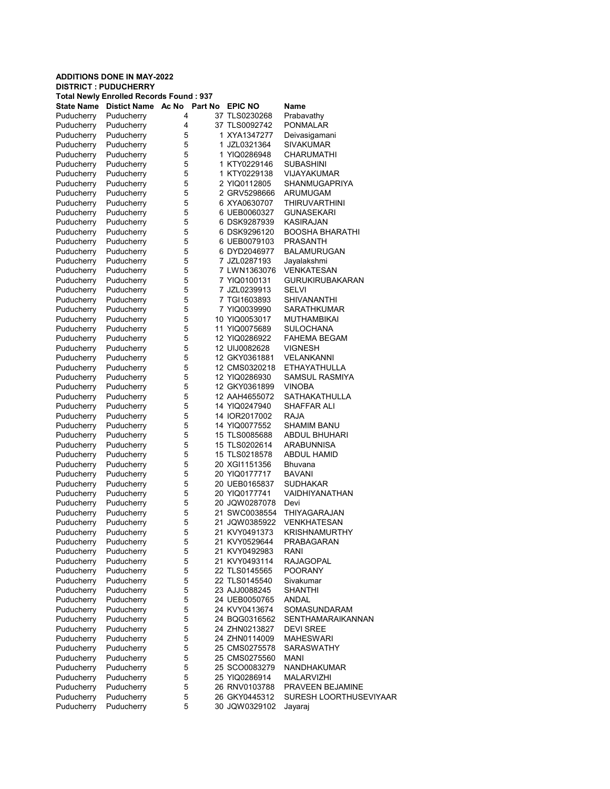#### ADDITIONS DONE IN MAY-2022 DISTRICT : PUDUCHERRY Total Newly Enrolled Records Found : 937 State Name Distict Name Ac No Part No EPIC NO Name Puducherry Puducherry 4 37 TLS0230268 Prabavathy Puducherry Puducherry 4 37 TLS0092742 PONMALAR Puducherry Puducherry 5 1 XYA1347277 Deivasigamani Puducherry Puducherry 5 1 JZL0321364 SIVAKUMAR Puducherry Puducherry 5 1 YIQ0286948 CHARUMATHI Puducherry Puducherry 5 1 KTY0229146 SUBASHINI Puducherry Puducherry 5 1 KTY0229138 VIJAYAKUMAR Puducherry Puducherry 5 2 YIQ0112805 SHANMUGAPRIYA<br>Puducherry Puducherry 5 2 GRV5298666 ARUMUGAM Puducherry Puducherry 5 2 GRV5298666<br>
Puducherry Puducherry 5 6 XYA0630707 Puddacherry Pulcherry School of the Service School of the Service School of the Service School of the Service S<br>Publisher Service School of the Service School of the Service School of the Service School of the Service Scho Puducherry Puducherry 5 6 UEB0060327 GUNASEKARI<br>Puducherry Puducherry 5 6 DSK9287939 KASIRAJAN Puducherry 5 6 DSK9287939 KASIRAJAN<br>Puducherry 5 6 DSK9296120 BOOSHA BH Puducherry Puducherry 5 6 DSK9296120 BOOSHA BHARATHI Puducherry Puducherry 5 6 UEB0079103 PRASANTH<br>Puducherry Puducherry 5 6 DYD2046977 BALAMURU **BALAMURUGAN** Puducherry Puducherry 5 7 JZL0287193 Jayalakshmi Puducherry Puducherry 5 7 LWN1363076 VENKATESAN Puducherry Puducherry 5 7 YIQ0100131 GURUKIRUBAKARAN<br>Puducherry Puducherry 5 7 JZL0239913 SELVI 7 JZL0239913 Puducherry Puducherry 5 7 TGI1603893 SHIVANANTHI Puducherry Puducherry 5 7 YIQ0039990 SARATHKUMAR Puducherry Puducherry 5 10 YIQ0053017 MUTHAMBIKAI Puducherry Puducherry 5 11 YIQ0075689 SULOCHANA Puducherry Puducherry 5 12 YIQ0286922 FAHEMA BEGAM Puducherry Puducherry 5 12 UIJ0082628 VIGNESH Puducherry Puducherry 5 12 GKY0361881 VELANKANNI Puducherry Puducherry 5 12 CMS0320218 ETHAYATHULLA Puducherry Puducherry 5 12 YIQ0286930 SAMSUL RASMIYA Puducherry Puducherry 5 12 GKY0361899 VINOBA Puducherry Puducherry 5 12 AAH4655072 SATHAKATHULLA<br>Puducherry Puducherry 5 14 YIQ0247940 SHAFFAR ALI Puducherry Puducherry 5 14 YIQ0247940 SHAFFAR ALI<br>Puducherry Puducherry 5 14 IOR2017002 RAJA Puducherry Puducherry 5 14 IOR2017002 RAJA Puducherry Puducherry 5 14 YIQ0077552 SHAMIM BANU<br>Puducherry Puducherry 5 15 TLS0085688 ABDUL BHUHA Puducherry Puducherry 5 15 TLS0085688 ABDUL BHUHARI<br>Puducherry Puducherry 5 15 TLS0202614 ARABUNNISA Puducherry Puducherry 5 15 TLS0202614<br>Puducherry Puducherry 5 15 TLS0218578 Puducherry Puducherry 5 15 TLS0218578 ABDUL HAMID<br>
Puducherry Puducherry 5 20 XGI1151356 Bhuvana 20 XGI1151356 Bhuvana Puducherry Puducherry 5 20 YIQ0177717 BAVANI Puducherry Puducherry 5 20 UEB0165837 SUDHAKAR<br>Puducherry Puducherry 5 20 YIQ0177741 VAIDHIYANA Puducherry Puducherry 5 20 YIQ0177741 VAIDHIYANATHAN<br>Puducherry Puducherry 5 20 JQW0287078 Devi 20 JQW0287078 Devi Puducherry Puducherry 5 21 SWC0038554 THIYAGARAJAN Puducherry Puducherry 5 21 JQW0385922 VENKHATESAN KRISHNAMURTHY Puducherry Puducherry 5 21 KVY0529644 PRABAGARAN Puducherry Puducherry 5 21 KVY0492983 RANI Puducherry Puducherry 5 21 KVY0493114 RAJAGOPAL Puducherry Puducherry 5 22 TLS0145565 POORANY Puducherry Puducherry 5 22 TLS0145540 Sivakumar Puducherry Puducherry 5 23 AJJ0088245 SHANTHI Puducherry Puducherry 5 24 UEB0050765 ANDAL Puducherry Puducherry 5 24 KVY0413674 SOMASUNDARAM Puducherry Puducherry 5 24 BQG0316562 SENTHAMARAIKANNAN

Puducherry Puducherry 5 24 ZHN0213827 DEVI SREE Puducherry Puducherry 5 24 ZHN0114009 MAHESWARI Puducherry Puducherry 5 25 CMS0275578 SARASWATHY<br>Puducherry Puducherry 5 25 CMS0275560 MANI Puducherry Puducherry 5 25 CMS0275560 MANI

Puducherry Puducherry 5 25 SCO0083279 NANDHAKUMAR Puducherry Puducherry 5 25 YIQ0286914 MALARVIZHI

Puducherry Puducherry 5 26 RNV0103788 PRAVEEN BEJAMINE<br>Puducherry Puducherry 5 26 GKY0445312 SURESH LOORTHUS Puducherry Puducherry 5 26 GKY0445312 SURESH LOORTHUSEVIYAAR<br>Puducherry Puducherry 5 30 JQW0329102 Javaraj

30 JQW0329102 Jayaraj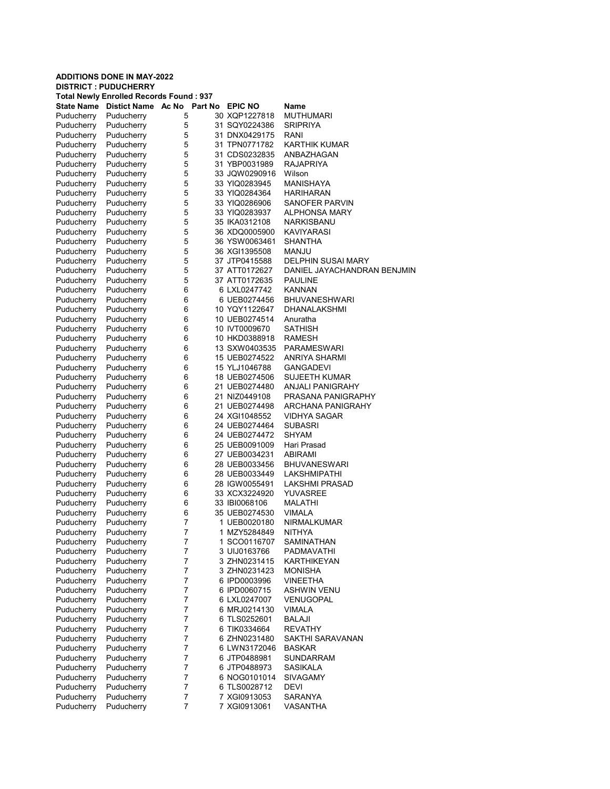#### ADDITIONS DONE IN MAY-2022 DISTRICT : PUDUCHERRY Total Newly Enrolled Records Found : 937 State Name Distict Name Ac No Part No EPIC NO Name Puducherry Puducherry 5 30 XQP1227818 MUTHUMARI Puducherry Puducherry 5 31 SQY0224386 SRIPRIYA Puducherry Puducherry 5 31 DNX0429175 RANI Puducherry Puducherry 5 31 TPN0771782 KARTHIK KUMAR Puducherry Puducherry 5 31 CDS0232835 ANBAZHAGAN Puducherry Puducherry 5 31 YBP0031989 RAJAPRIYA Puducherry Puducherry 5 33 JQW0290916 Wilson Puducherry Puducherry 5 33 YIQ0283945 MANISHAYA<br>Puducherry Puducherry 5 33 YIQ0284364 HARIHARAN Puducherry Puducherry 5 33 YIQ0284364<br>
Puducherry Puducherry 5 33 YIQ0286906 Puddacherry 33 YIQ0286906 SANOFER PARVIN<br>Puducherry Sandbridgerry Sandbridgerry Sandary Puducherry Puducherry 5 33 YIQ0283937 ALPHONSA MARY<br>
Puducherry Puducherry 5 35 IKA0312108 NARKISBANU Puducherry 5 35 IKA0312108 NARKISBANI<br>Puducherry 5 36 XDQ0005900 KAVIYARASI Puducherry Puducherry 5 36 XDQ0005900 Puducherry Puducherry 5 36 YSW0063461 SHANTHA<br>Puducherry Puducherry 5 36 XGI1395508 MANJU Puducherry Puducherry 5 36 XGI1395508 Puducherry Puducherry 5 37 JTP0415588 DELPHIN SUSAI MARY Puducherry Puducherry 5 37 ATT0172627 DANIEL JAYACHANDRAN BENJMIN<br>Puducherry Puducherry 5 37 ATT0172635 PAULINE Puducherry Puducherry 5 37 ATT0172635 PAULINE<br>Puducherry Puducherry 6 6 LXL0247742 KANNAN 6 LXL0247742 Puducherry Puducherry 6 6 UEB0274456 BHUVANESHWARI Puducherry Puducherry 6 10 YQY1122647 DHANALAKSHMI Puducherry Puducherry 6 10 UEB0274514 Anuratha Puducherry Puducherry 6 10 IVT0009670 SATHISH Puducherry Puducherry 6 10 HKD0388918 RAMESH Puducherry Puducherry 6 13 SXW0403535 PARAMESWARI Puducherry Puducherry 6 15 UEB0274522 ANRIYA SHARMI Puducherry Puducherry 6 15 YLJ1046788 GANGADEVI Puducherry Puducherry 6 18 UEB0274506 SUJEETH KUMAR Puducherry Puducherry 6 21 UEB0274480 ANJALI PANIGRAHY Puducherry Puducherry 6 21 NIZ0449108 PRASANA PANIGRAPHY<br>Puducherry Puducherry 6 21 UEB0274498 ARCHANA PANIGRAHY Puducherry Puducherry 6 21 UEB0274498 ARCHANA PANIGRAHY<br>Puducherry Puducherry 6 24 XGI1048552 VIDHYA SAGAR Puducherry 6 24 XGI1048552 Puducherry Puducherry 6 24 UEB0274464 SUBASRI<br>Puducherry Puducherry 6 24 UEB0274472 SHYAM Puducherry Puducherry 6 24 UEB0274472 Puducherry Puducherry 6 25 UEB0091009 Hari Prasad Puducherry Puducherry 6 27 UEB0034231 ABIRAMI<br>Puducherry Puducherry 6 28 UEB0033456 BHUVAN Puducherry Puducherry 6 28 UEB0033456 BHUVANESWARI Puducherry Puducherry 6 28 UEB0033449 LAKSHMIPATHI Puducherry Puducherry 6 28 IGW0055491 LAKSHMI PRASAD<br>Puducherry Puducherry 6 33 XCX3224920 YUVASREE Puducherry Puducherry 6 33 XCX3224920 YUVASRE<br>Puducherry Puducherry 6 33 IBI0068106 MALATHI 33 IBI0068106 Puducherry Puducherry 6 35 UEB0274530 VIMALA Puducherry Puducherry 7 1 UEB0020180 NIRMALKUMAR<br>Puducherry Puducherry 7 1 MZY5284849 NITHYA 1 MZY5284849 Puducherry Puducherry 7 1 SCO0116707 SAMINATHAN Puducherry Puducherry 7 3 UIJ0163766 PADMAVATHI Puducherry Puducherry 7 3 ZHN0231415 KARTHIKEYAN Puducherry Puducherry 7 3 ZHN0231423 MONISHA Puducherry Puducherry 7 6 IPD0003996 VINEETHA Puducherry Puducherry 7 6 IPD0060715 ASHWIN VENU Puducherry Puducherry 7 6 LXL0247007 VENUGOPAL Puducherry Puducherry 7 6 MRJ0214130 VIMALA Puducherry Puducherry 7 6 TLS0252601 BALAJI Puducherry Puducherry 7 6 TIK0334664 REVATHY Puducherry Puducherry 7 6 ZHN0231480 SAKTHI SARAVANAN Puducherry Puducherry 7 6 LWN3172046 BASKAR<br>Puducherry Puducherry 7 6 JTP0488981 SUNDARRAM

Puducherry Puducherry 7 6 JTP0488981<br>
Puducherry Puducherry 7 6 JTP0488973

Puducherry Puducherry 7 7 XGI0913061

Puducherry Puducherry 7 6 JTP0488973 SASIKALA<br>Puducherry Puducherry 7 6 NOG0101014 SIVAGAMY Puducherry Puducherry 7 6 NOG0101014 SIVAGAMY<br>Puducherry Puducherry 7 6 TLS0028712 DEVI Puducherry Puducherry 7 6 TLS0028712 DEVI<br>Puducherry Puducherry 7 7 7 XGl0913053 SARA Puducherry Puducherry 7 7 7 XGI0913053 SARANYA<br>Puducherry Puducherry 7 7 7 XGI0913061 VASANTHA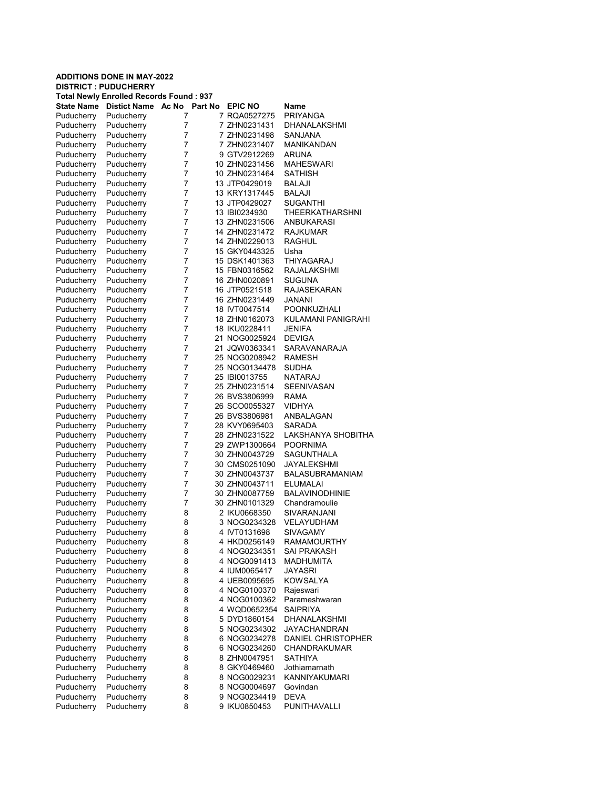| <b>Total Newly Enrolled Records Found: 937</b> |                     |       |                |                |                        |  |  |
|------------------------------------------------|---------------------|-------|----------------|----------------|------------------------|--|--|
| State Name                                     | <b>Distict Name</b> | Ac No | <b>Part No</b> | <b>EPIC NO</b> | Name                   |  |  |
| Puducherry                                     | Puducherry          | 7     |                | 7 RQA0527275   | PRIYANGA               |  |  |
| Puducherry                                     | Puducherry          | 7     |                | 7 ZHN0231431   | DHANALAKSHMI           |  |  |
| Puducherry                                     | Puducherry          | 7     |                | 7 ZHN0231498   | SANJANA                |  |  |
| Puducherry                                     | Puducherry          | 7     |                | 7 ZHN0231407   | MANIKANDAN             |  |  |
| Puducherry                                     | Puducherry          | 7     |                | 9 GTV2912269   | <b>ARUNA</b>           |  |  |
| Puducherry                                     | Puducherry          | 7     |                | 10 ZHN0231456  | MAHESWARI              |  |  |
| Puducherry                                     | Puducherry          | 7     |                | 10 ZHN0231464  | SATHISH                |  |  |
| Puducherry                                     | Puducherry          | 7     |                | 13 JTP0429019  | BALAJI                 |  |  |
| Puducherry                                     | Puducherry          | 7     |                | 13 KRY1317445  | BALAJI                 |  |  |
| Puducherry                                     | Puducherry          | 7     |                | 13 JTP0429027  | <b>SUGANTHI</b>        |  |  |
| Puducherry                                     | Puducherry          | 7     |                | 13 IBI0234930  | THEERKATHARSHNI        |  |  |
| Puducherry                                     | Puducherry          | 7     |                | 13 ZHN0231506  | ANBUKARASI             |  |  |
| Puducherry                                     | Puducherry          | 7     |                | 14 ZHN0231472  | RAJKUMAR               |  |  |
| Puducherry                                     | Puducherry          | 7     |                | 14 ZHN0229013  | RAGHUL                 |  |  |
| Puducherry                                     | Puducherry          | 7     |                | 15 GKY0443325  | Usha                   |  |  |
| Puducherry                                     | Puducherry          | 7     |                | 15 DSK1401363  | THIYAGARAJ             |  |  |
| Puducherry                                     | Puducherry          | 7     |                | 15 FBN0316562  | RAJALAKSHMI            |  |  |
| Puducherry                                     | Puducherry          | 7     |                | 16 ZHN0020891  | SUGUNA                 |  |  |
| Puducherry                                     | Puducherry          | 7     |                | 16 JTP0521518  | <b>RAJASEKARAN</b>     |  |  |
| Puducherry                                     | Puducherry          | 7     |                | 16 ZHN0231449  | JANANI                 |  |  |
| Puducherry                                     | Puducherry          | 7     |                | 18 IVT0047514  | POONKUZHALI            |  |  |
| Puducherry                                     | Puducherry          | 7     |                | 18 ZHN0162073  | KULAMANI PANIGRAHI     |  |  |
| Puducherry                                     | Puducherry          | 7     |                | 18 IKU0228411  | JENIFA                 |  |  |
| Puducherry                                     | Puducherry          | 7     |                | 21 NOG0025924  | <b>DEVIGA</b>          |  |  |
| Puducherry                                     | Puducherry          | 7     |                | 21 JQW0363341  | SARAVANARAJA           |  |  |
| Puducherry                                     | Puducherry          | 7     |                | 25 NOG0208942  | RAMESH                 |  |  |
| Puducherry                                     | Puducherry          | 7     |                | 25 NOG0134478  | SUDHA                  |  |  |
| Puducherry                                     | Puducherry          | 7     |                | 25 IBI0013755  | NATARAJ                |  |  |
| Puducherry                                     | Puducherry          | 7     |                | 25 ZHN0231514  | <b>SEENIVASAN</b>      |  |  |
| Puducherry                                     | Puducherry          | 7     |                | 26 BVS3806999  | RAMA                   |  |  |
| Puducherry                                     | Puducherry          | 7     |                | 26 SCO0055327  | <b>VIDHYA</b>          |  |  |
| Puducherry                                     | Puducherry          | 7     |                | 26 BVS3806981  | ANBALAGAN              |  |  |
| Puducherry                                     | Puducherry          | 7     |                | 28 KVY0695403  | SARADA                 |  |  |
| Puducherry                                     | Puducherry          | 7     |                | 28 ZHN0231522  | LAKSHANYA SHOBITHA     |  |  |
| Puducherry                                     | Puducherry          | 7     |                | 29 ZWP1300664  | POORNIMA               |  |  |
| Puducherry                                     | Puducherry          | 7     |                | 30 ZHN0043729  | SAGUNTHALA             |  |  |
| Puducherry                                     | Puducherry          | 7     |                | 30 CMS0251090  | JAYALEKSHMI            |  |  |
| Puducherry                                     | Puducherry          | 7     |                | 30 ZHN0043737  | <b>BALASUBRAMANIAM</b> |  |  |
| Puducherry                                     | Puducherry          | 7     |                | 30 ZHN0043711  | ELUMALAI               |  |  |
| Puducherry                                     | Puducherry          | 7     |                | 30 ZHN0087759  | <b>BALAVINODHINIE</b>  |  |  |
| Puducherry                                     | Puducherry          | 7     |                | 30 ZHN0101329  | Chandramoulie          |  |  |
| Puducherry                                     | Puducherry          | 8     |                | 2 IKU0668350   | SIVARANJANI            |  |  |
| Puducherry                                     | Puducherry          | 8     |                | 3 NOG0234328   | VELAYUDHAM             |  |  |
| Puducherry                                     | Puducherry          | 8     |                | 4 IVT0131698   | SIVAGAMY               |  |  |
| Puducherry                                     | Puducherry          | 8     |                | 4 HKD0256149   | <b>RAMAMOURTHY</b>     |  |  |
| Puducherry                                     | Puducherry          | 8     |                | 4 NOG0234351   | <b>SAI PRAKASH</b>     |  |  |
| Puducherry                                     | Puducherry          | 8     |                | 4 NOG0091413   | MADHUMITA              |  |  |
| Puducherry                                     | Puducherry          | 8     |                | 4 IUM0065417   | <b>JAYASRI</b>         |  |  |
| Puducherry                                     | Puducherry          | 8     |                | 4 UEB0095695   | <b>KOWSALYA</b>        |  |  |
| Puducherry                                     | Puducherry          | 8     |                | 4 NOG0100370   | Rajeswari              |  |  |
| Puducherry                                     | Puducherry          | 8     |                | 4 NOG0100362   | Parameshwaran          |  |  |
| Puducherry                                     | Puducherry          | 8     |                | 4 WQD0652354   | SAIPRIYA               |  |  |
| Puducherry                                     | Puducherry          | 8     |                | 5 DYD1860154   | DHANALAKSHMI           |  |  |
| Puducherry                                     | Puducherry          | 8     |                | 5 NOG0234302   | <b>JAYACHANDRAN</b>    |  |  |
| Puducherry                                     | Puducherry          | 8     |                | 6 NOG0234278   | DANIEL CHRISTOPHER     |  |  |
| Puducherry                                     | Puducherry          | 8     |                | 6 NOG0234260   | CHANDRAKUMAR           |  |  |
| Puducherry                                     | Puducherry          | 8     |                | 8 ZHN0047951   | SATHIYA                |  |  |
| Puducherry                                     | Puducherry          | 8     |                | 8 GKY0469460   | Jothiamarnath          |  |  |
| Puducherry                                     | Puducherry          | 8     |                | 8 NOG0029231   | <b>KANNIYAKUMARI</b>   |  |  |
| Puducherry                                     | Puducherry          | 8     |                | 8 NOG0004697   | Govindan               |  |  |
| Puducherry                                     | Puducherry          | 8     |                | 9 NOG0234419   | DEVA                   |  |  |
| Puducherry                                     | Puducherry          | 8     |                | 9 IKU0850453   | PUNITHAVALLI           |  |  |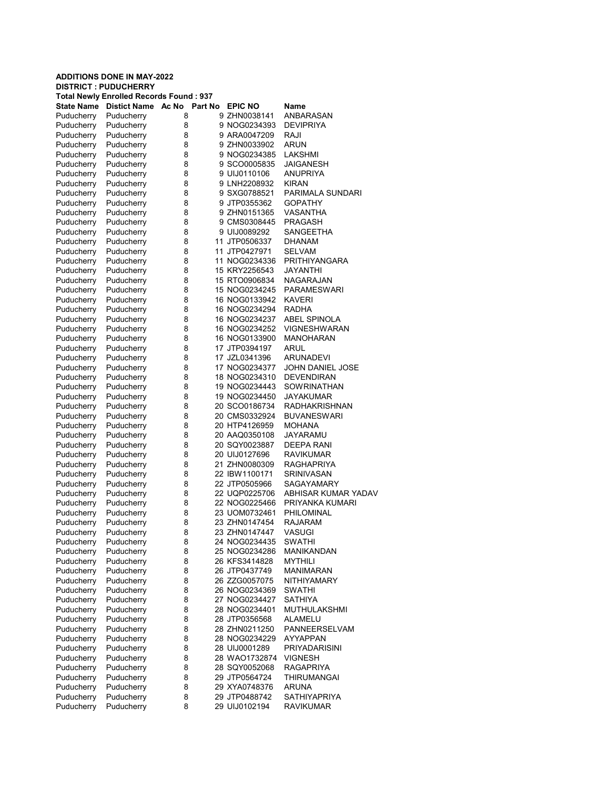#### ADDITIONS DONE IN MAY-2022 DISTRICT : PUDUCHERRY Total Newly Enrolled Records Found : 937 State Name Distict Name Ac No Part No EPIC NO Name Puducherry Puducherry 8 9 ZHN0038141 ANBARASAN Puducherry Puducherry 8 9 NOG0234393 DEVIPRIYA Puducherry Puducherry 8 9 ARA0047209 RAJI Puducherry Puducherry 8 9 ZHN0033902 ARUN Puducherry Puducherry 8 9 NOG0234385 LAKSHMI Puducherry Puducherry 8 9 SCO0005835 JAIGANESH Puducherry Puducherry 8 9 UIJ0110106 ANUPRIYA Puducherry Puducherry 8 9 LNH2208932 KIRAN<br>Puducherry Puducherry 8 9 SXG0788521 PARIM Puducherry Puducherry 8 9 SXG0788521 PARIMALA SUNDARI<br>Puducherry Puducherry 8 9 JTP0355362 GOPATHY 8 9 JTP0355362<br>B 9 2 PUD151365 Puducherry Puducherry 8 9 ZHN0151365 VASANTHA<br>Puducherry Puducherry 8 9 CMS0308445 PRAGASH Puducherry 8 9 CMS0308445<br>Puducherry 8 9 UIJ0089292 Puducherry Puducherry 8 9 UIJ0089292 SANGEETHA Puducherry Puducherry 8 11 JTP0506337 DHANAM<br>Puducherry Puducherry 8 11 JTP0427971 SELVAM Puducherry Puducherry 8 11 JTP0427971 Puducherry Puducherry 8 11 NOG0234336 PRITHIYANGARA Puducherry Puducherry 8 15 KRY2256543 JAYANTHI Puducherry Puducherry 8 15 RTO0906834 NAGARAJAN 15 NOG0234245 Puducherry Puducherry 8 16 NOG0133942 KAVERI Puducherry Puducherry 8 16 NOG0234294 RADHA Puducherry Puducherry 8 16 NOG0234237 ABEL SPINOLA Puducherry Puducherry 8 16 NOG0234252 VIGNESHWARAN Puducherry Puducherry 8 16 NOG0133900 MANOHARAN Puducherry Puducherry 8 17 JTP0394197 ARUL Puducherry Puducherry 8 17 JZL0341396 ARUNADEVI Puducherry Puducherry 8 17 NOG0234377 JOHN DANIEL JOSE Puducherry Puducherry 8 18 NOG0234310 DEVENDIRAN Puducherry Puducherry 8 19 NOG0234443 SOWRINATHAN Puducherry Puducherry 8 19 NOG0234450 JAYAKUMAR<br>Puducherry Puducherry 8 20 SCO0186734 RADHAKRISH Puducherry Puducherry 8 20 SCO0186734 RADHAKRISHNAN<br>Puducherry Puducherry 8 20 CMS0332924 BUVANESWARI Puducherry 8 20 CMS0332924 Puducherry Puducherry 8 20 HTP4126959 MOHANA<br>Puducherry Puducherry 8 20 AAQ0350108 JAYARAMU Puducherry Puducherry 8 20 AAQ0350108 Puducherry Puducherry 8 20 SQY0023887 DEEPA RANI Puducherry Puducherry 8 20 UIJ0127696 RAVIKUMAR<br>Puducherry Puducherry 8 21 ZHN0080309 RAGHAPRIY Puducherry Puducherry 8 21 ZHN0080309 RAGHAPRIYA Puducherry Puducherry 8 22 IBW1100171 SRINIVASAN Puducherry Puducherry 8 22 JTP0505966 SAGAYAMARY<br>Puducherry Puducherry 8 22 UQP0225706 ABHISAR.KUM Puducherry Puducherry 8 22 UQP0225706 ABHISAR KUMAR YADAV<br>Puducherry Puducherry 8 22 NOG0225466 PRIYANKA KUMARI PRIYANKA KUMARI Puducherry Puducherry 8 23 UOM0732461 PHILOMINAL Puducherry Puducherry 8 23 ZHN0147454 RAJARAM<br>Puducherry Puducherry 8 23 ZHN0147447 VASUGI 23 ZHN0147447 Puducherry Puducherry 8 24 NOG0234435 SWATHI Puducherry Puducherry 8 25 NOG0234286 MANIKANDAN Puducherry Puducherry 8 26 KFS3414828 MYTHILI Puducherry Puducherry 8 26 JTP0437749 MANIMARAN Puducherry Puducherry 8 26 ZZG0057075 NITHIYAMARY Puducherry Puducherry 8 26 NOG0234369 SWATHI Puducherry Puducherry 8 27 NOG0234427 SATHIYA Puducherry Puducherry 8 28 NOG0234401 MUTHULAKSHMI Puducherry Puducherry 8 28 JTP0356568 ALAMELU Puducherry Puducherry 8 28 ZHN0211250 PANNEERSELVAM Puducherry Puducherry 8 28 NOG0234229 AYYAPPAN Puducherry Puducherry 8 28 UIJ0001289 PRIYADARISINI Puducherry Puducherry 8 28 WAO1732874 VIGNESH Puducherry Puducherry 8 28 SQY0052068 RAGAPRIYA Puducherry Puducherry 8 29 JTP0564724 Puducherry Puducherry 8 29 XYA0748376 ARUNA Puducherry Puducherry 8 29 JTP0488742 SATHIYAPRIYA Puducherry Puducherry 8 29 UIJ0102194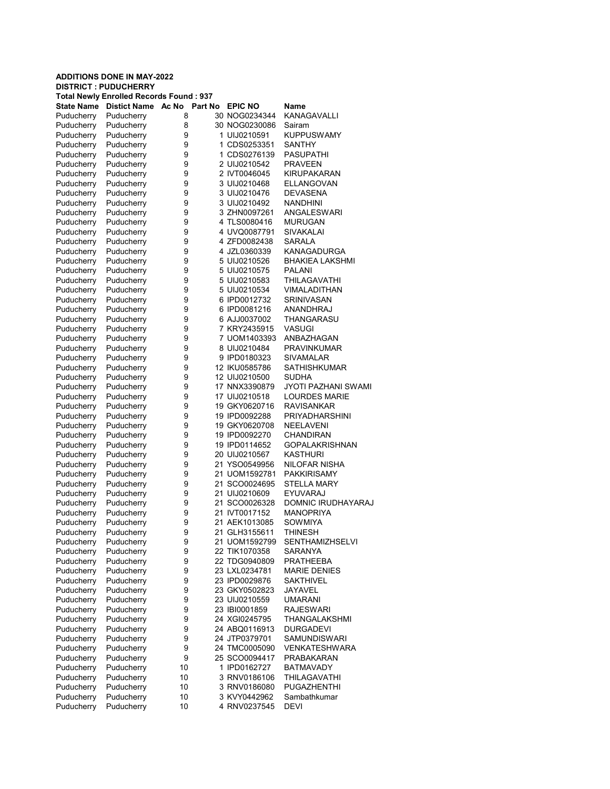# ADDITIONS DONE IN MAY-2022 DISTRICT : PUDUCHERRY Total Newly Enrolled Records Found : 937 State Name Distict Name Ac No Part No EPIC NO Name

| υιαισ ιναι |            | <b>AY 110</b> | 느뜨 보고         |                            |
|------------|------------|---------------|---------------|----------------------------|
| Puducherry | Puducherry | 8             | 30 NOG0234344 | KANAGAVALLI                |
| Puducherry | Puducherry | 8             | 30 NOG0230086 | Sairam                     |
| Puducherry | Puducherry | 9             | 1 UIJ0210591  | <b>KUPPUSWAMY</b>          |
| Puducherry | Puducherry | 9             | 1 CDS0253351  | SANTHY                     |
| Puducherry | Puducherry | 9             | 1 CDS0276139  | PASUPATHI                  |
| Puducherry | Puducherry | 9             | 2 UIJ0210542  | <b>PRAVEEN</b>             |
| Puducherry | Puducherry | 9             | 2 IVT0046045  | KIRUPAKARAN                |
|            | Puducherry | 9             | 3 UIJ0210468  | ELLANGOVAN                 |
| Puducherry |            |               |               |                            |
| Puducherry | Puducherry | 9             | 3 UIJ0210476  | <b>DEVASENA</b>            |
| Puducherry | Puducherry | 9             | 3 UIJ0210492  | <b>NANDHINI</b>            |
| Puducherry | Puducherry | 9             | 3 ZHN0097261  | <b>ANGALESWARI</b>         |
| Puducherry | Puducherry | 9             | 4 TLS0080416  | <b>MURUGAN</b>             |
| Puducherry | Puducherry | 9             | 4 UVQ0087791  | SIVAKALAI                  |
| Puducherry | Puducherry | 9             | 4 ZFD0082438  | SARALA                     |
| Puducherry | Puducherry | 9             | 4 JZL0360339  | <b>KANAGADURGA</b>         |
| Puducherry | Puducherry | 9             | 5 UIJ0210526  | <b>BHAKIEA LAKSHMI</b>     |
| Puducherry | Puducherry | 9             | 5 UIJ0210575  | PALANI                     |
| Puducherry | Puducherry | 9             | 5 UIJ0210583  | THILAGAVATHI               |
|            | Puducherry | 9             | 5 UIJ0210534  |                            |
| Puducherry |            |               |               | VIMALADITHAN               |
| Puducherry | Puducherry | 9             | 6 IPD0012732  | SRINIVASAN                 |
| Puducherry | Puducherry | 9             | 6 IPD0081216  | ANANDHRAJ                  |
| Puducherry | Puducherry | 9             | 6 AJJ0037002  | THANGARASU                 |
| Puducherry | Puducherry | 9             | 7 KRY2435915  | VASUGI                     |
| Puducherry | Puducherry | 9             | 7 UOM1403393  | ANBAZHAGAN                 |
| Puducherry | Puducherry | 9             | 8 UIJ0210484  | <b>PRAVINKUMAR</b>         |
| Puducherry | Puducherry | 9             | 9 IPD0180323  | SIVAMALAR                  |
| Puducherry | Puducherry | 9             | 12 IKU0585786 | <b>SATHISHKUMAR</b>        |
| Puducherry | Puducherry | 9             | 12 UIJ0210500 | <b>SUDHA</b>               |
| Puducherry | Puducherry | 9             | 17 NNX3390879 | <b>JYOTI PAZHANI SWAMI</b> |
| Puducherry | Puducherry | 9             | 17 UIJ0210518 | <b>LOURDES MARIE</b>       |
| Puducherry | Puducherry | 9             | 19 GKY0620716 | <b>RAVISANKAR</b>          |
| Puducherry | Puducherry | 9             | 19 IPD0092288 | PRIYADHARSHINI             |
| Puducherry | Puducherry | 9             | 19 GKY0620708 | NEELAVENI                  |
| Puducherry | Puducherry | 9             | 19 IPD0092270 | CHANDIRAN                  |
| Puducherry | Puducherry | 9             | 19 IPD0114652 | <b>GOPALAKRISHNAN</b>      |
| Puducherry | Puducherry | 9             | 20 UIJ0210567 | <b>KASTHURI</b>            |
|            |            |               |               |                            |
| Puducherry | Puducherry | 9             | 21 YSO0549956 | NILOFAR NISHA              |
| Puducherry | Puducherry | 9             | 21 UOM1592781 | <b>PAKKIRISAMY</b>         |
| Puducherry | Puducherry | 9             | 21 SCO0024695 | STELLA MARY                |
| Puducherry | Puducherry | 9             | 21 UIJ0210609 | <b>EYUVARAJ</b>            |
| Puducherry | Puducherry | 9             | 21 SCO0026328 | DOMNIC IRUDHAYARAJ         |
| Puducherry | Puducherry | 9             | 21 IVT0017152 | <b>MANOPRIYA</b>           |
| Puducherry | Puducherry | 9             | 21 AEK1013085 | SOWMIYA                    |
| Puducherry | Puducherry | 9             | 21 GLH3155611 | THINESH                    |
| Puducherry | Puducherry | 9             | 21 UOM1592799 | SENTHAMIZHSELVI            |
| Puducherry | Puducherry | 9             | 22 TIK1070358 | SARANYA                    |
| Puducherry | Puducherry | 9             | 22 TDG0940809 | <b>PRATHEEBA</b>           |
| Puducherry | Puducherry | 9             | 23 LXL0234781 | <b>MARIE DENIES</b>        |
| Puducherry | Puducherry | 9             | 23 IPD0029876 | <b>SAKTHIVEL</b>           |
| Puducherry | Puducherry | 9             | 23 GKY0502823 | JAYAVEL                    |
| Puducherry | Puducherry | 9             | 23 UIJ0210559 | <b>UMARANI</b>             |
| Puducherry | Puducherry | 9             | 23 IBI0001859 | <b>RAJESWARI</b>           |
| Puducherry | Puducherry | 9             | 24 XGI0245795 | THANGALAKSHMI              |
| Puducherry | Puducherry | 9             | 24 ABQ0116913 | <b>DURGADEVI</b>           |
|            |            |               |               | <b>SAMUNDISWARI</b>        |
| Puducherry | Puducherry | 9             | 24 JTP0379701 |                            |
| Puducherry | Puducherry | 9             | 24 TMC0005090 | VENKATESHWARA              |
| Puducherry | Puducherry | 9             | 25 SCO0094417 | PRABAKARAN                 |
| Puducherry | Puducherry | 10            | 1 IPD0162727  | <b>BATMAVADY</b>           |
| Puducherry | Puducherry | 10            | 3 RNV0186106  | THILAGAVATHI               |
| Puducherry | Puducherry | 10            | 3 RNV0186080  | PUGAZHENTHI                |
| Puducherry | Puducherry | 10            | 3 KVY0442962  | Sambathkumar               |
| Puducherry | Puducherry | 10            | 4 RNV0237545  | DEVI                       |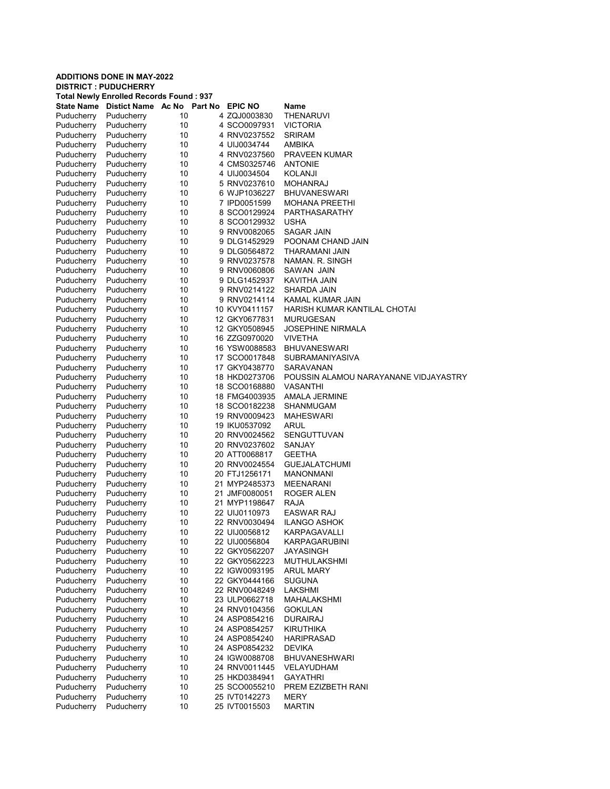#### ADDITIONS DONE IN MAY-2022 DISTRICT : PUDUCHERRY Total Newly Enrolled Records Found : 937 State Name Distict Name Ac No Part No EPIC NO Name Puducherry Puducherry 10 4 ZQJ0003830 THENARUVI Puducherry Puducherry 10 4 SCO0097931 VICTORIA Puducherry Puducherry 10 4 RNV0237552 SRIRAM Puducherry Puducherry 10 4 UIJ0034744 AMBIKA Puducherry Puducherry 10 4 RNV0237560 PRAVEEN KUMAR Puducherry Puducherry 10 4 CMS0325746 ANTONIE Puducherry Puducherry 10 4 UIJ0034504 KOLANJI Puducherry Puducherry 10 5 RNV0237610 MOHANRAJ Puducherry 10 6 WJP1036227 BHUVANESWARI<br>Puducherry 10 7 IPD0051599 MOHANA PREETH Puducherry Puducherry 10 7 IPD0051599 MOHANA PREETHI Puducherry Puducherry 10 8 SCO0129924 PARTHASARATHY<br>Puducherry Puducherry 10 8 SCO0129932 USHA Puducherry 10 8 SCO0129932 Puducherry Puducherry 10 9 RNV0082065 SAGAR JAIN Puducherry Puducherry 10 9 DLG1452929 POONAM CHAND JAIN<br>Puducherry Puducherry 10 9 DLG0564872 THARAMANI JAIN Puducherry Puducherry 10 9 DLG0564872 THARAMANI JAIN Puducherry Puducherry 10 9 RNV0237578 NAMAN. R. SINGH Puducherry Puducherry 10 9 RNV0060806 SAWAN JAIN Puducherry Puducherry 10 9DLG1452937 KAVITHA JAIN<br>Puducherry Puducherry 10 9 RNV0214122 SHARDA JAIN 9 RNV0214122 Puducherry Puducherry 10 9 RNV0214114 KAMAL KUMAR JAIN Puducherry Puducherry 10 10 KVY0411157 HARISH KUMAR KANTILAL CHOTAI Puducherry Puducherry 10 12 GKY0677831 MURUGESAN Puducherry Puducherry 10 12 GKY0508945 JOSEPHINE NIRMALA Puducherry Puducherry 10 16 ZZG0970020 VIVETHA Puducherry Puducherry 10 16 YSW0088583 BHUVANESWARI Puducherry Puducherry 10 17 SCO0017848 SUBRAMANIYASIVA Puducherry Puducherry 10 17 GKY0438770 SARAVANAN Puducherry Puducherry 10 18 HKD0273706 POUSSIN ALAMOU NARAYANANE VIDJAYASTRY Puducherry Puducherry 10 18 SCO0168880 VASANTHI Puducherry Puducherry 10 18 FMG4003935 AMALA JERMINE<br>Puducherry Puducherry 10 18 SCO0182238 SHANMUGAM Puducherry Puducherry 10 18 SCO0182238 SHANMUGAM<br>
Puducherry Puducherry 10 19 RNV0009423 MAHESWARI Puducherry 10 19 RNV0009423 Puducherry Puducherry 10 19 IKU0537092 ARUL<br>Puducherry Puducherry 10 20 RNV0024562 SENGUTTUVAN Puducherry Puducherry 10 20 RNV0024562 Puducherry Puducherry 10 20 RNV0237602 SANJAY Puducherry Puducherry 10 20 ATT0068817 GEETHA Puducherry Puducherry 10 20 RNV0024554 GUEJALATCHUMI Puducherry Puducherry 10 20 FTJ1256171 MANONMANI Puducherry Puducherry 10 21 MYP2485373 MEENARANI Puducherry Puducherry 10 21 JMF0080051 ROGE<br>Puducherry Puducherry 10 21 MYP1198647 RAJA 21 MYP1198647 Puducherry Puducherry 10 22 UIJ0110973 EASWAR RAJ Puducherry Puducherry 10 22 RNV0030494 ILANGO ASHOK KARPAGAVALLI Puducherry Puducherry 10 22 UIJ0056804 KARPAGARUBINI Puducherry Puducherry 10 22 GKY0562207 JAYASINGH Puducherry Puducherry 10 22 GKY0562223 MUTHULAKSHMI Puducherry Puducherry 10 22 IGW0093195 ARUL MARY Puducherry Puducherry 10 22 GKY0444166 SUGUNA Puducherry Puducherry 10 22 RNV0048249 LAKSHMI Puducherry Puducherry 10 23 ULP0662718 MAHALAKSHMI Puducherry Puducherry 10 24 RNV0104356 GOKULAN Puducherry Puducherry 10 24 ASP0854216 DURAIRAJ Puducherry Puducherry 10 24 ASP0854257 KIRUTHIKA Puducherry Puducherry 10 24 ASP0854240 HARIPRASAD Puducherry Puducherry 10 24 ASP0854232 DEVIKA Puducherry Puducherry 10 24 IGW0088708 BHUVANESHWARI Puducherry Puducherry 10 24 RNV0011445 VELAYUDHAM Puducherry Puducherry 10 25 HKD0384941 GAYATHRI Puducherry Puducherry 10 25 SCO0055210 PREM EZIZBETH RANI Puducherry Puducherry 10 25 IVT0142273 MERY Puducherry Puducherry 10 25 IVT0015503 MARTIN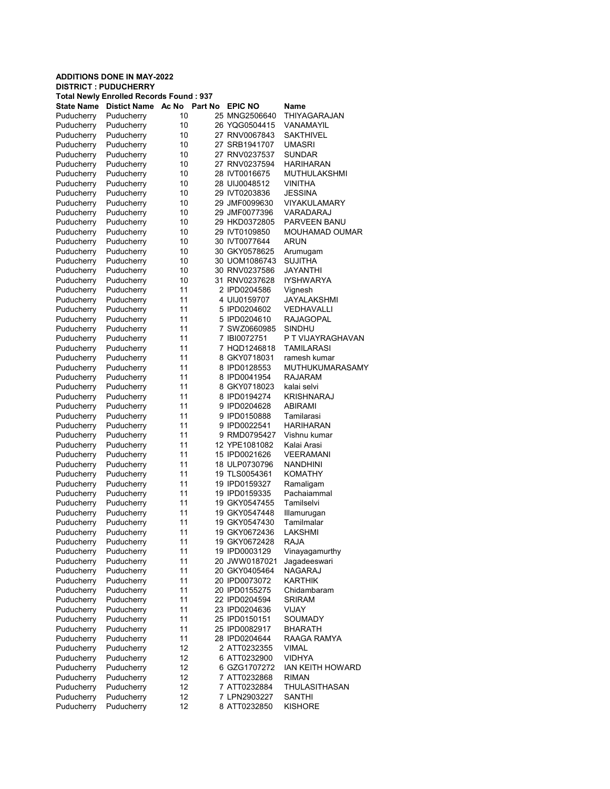#### ADDITIONS DONE IN MAY-2022 DISTRICT : PUDUCHERRY Total Newly Enrolled Records Found : 937 State Name Distict Name Ac No Part No EPIC NO Name Puducherry Puducherry 10 25 MNG2506640 THIYAGARAJAN Puducherry Puducherry 10 26 YQG0504415 VANAMAYIL Puducherry Puducherry 10 27 RNV0067843 SAKTHIVEL Puducherry Puducherry 10 27 SRB1941707 UMASRI Puducherry Puducherry 10 27 RNV0237537 SUNDAR Puducherry Puducherry 10 27 RNV0237594 HARIHARAN Puducherry Puducherry 10 28 IVT0016675 MUTHULAKSHMI Puducherry Puducherry 10 28 UIJ0048512 VINITHA Puducherry Puducherry 10 29 IVT0203836<br>Puducherry Puducherry 10 29 JMF0099630 10 29 JMF0099630 VIYAKULAMARY Puducherry Puducherry 10 29 JMF0077396 VARADARAJ Puducherry 10 29 HKD0372805 PARVEEN BANU<br>Puducherry 10 29 IVT0109850 MOUHAMAD OUI Puducherry Puducherry 10 29 IVT0109850 MOUHAMAD OUMAR Puducherry Puducherry 10 30 IVT0077644 ARUN Puducherry Puducherry 10 30 GKY0578625 Arumugam Puducherry Puducherry 10 30 UOM1086743 SUJITHA Puducherry Puducherry 10 30 RNV0237586 JAYANTHI Puducherry Puducherry 10 31 RNV0237628 IYSHWARYA 2 IPD0204586 Puducherry Puducherry 11 4 UIJ0159707 JAYALAKSHMI Puducherry Puducherry 11 5 IPD0204602 VEDHAVALLI Puducherry Puducherry 11 5 IPD0204610 RAJAGOPAL Puducherry Puducherry 11 7 SWZ0660985 SINDHU Puducherry Puducherry 11 7 IBI0072751 P T VIJAYRAGHAVAN Puducherry Puducherry 11 7 HQD1246818 TAMILARASI Puducherry Puducherry 11 8 GKY0718031 ramesh kumar Puducherry Puducherry 11 8 IPD0128553 MUTHUKUMARASAMY Puducherry Puducherry 11 8 IPD0041954 RAJARAM Puducherry Puducherry 11 8 GKY0718023 kalai selvi Puducherry Puducherry 11 8 IPD0194274 KRISHNARAJ<br>Puducherry Puducherry 11 9 IPD0204628 ABIRAMI Puducherry Puducherry 11 9 IPD0204628 ABIRAMI Puducherry 11 9 IPD0150888 Tamilarasi Puducherry Puducherry 11 9 IPD0022541 HARIHARAN Puducherry Puducherry 11 9 RMD0795427 Puducherry Puducherry 11 12 YPE1081082 Kalai Arasi Puducherry Puducherry 11 15 IPD0021626 VEERAMANI<br>Puducherry Puducherry 11 18 ULP0730796 NANDHINI Puducherry Puducherry 11 18 ULP0730796 NANDHINI Puducherry Puducherry 11 19 TLS0054361 KOMATHY Puducherry Puducherry 11 19 IPD0159327 Ramaligam<br>Puducherry Puducherry 11 19 IPD0159335 Pachaiamm Puducherry Puducherry 11 19 IPD0159335 Pachaiammal<br>Puducherry Puducherry 11 19 GKY0547455 Tamilselvi 11 19 GKY0547455 Puducherry Puducherry 11 19 GKY0547448 Illamurugan Puducherry Puducherry 11 19 GKY0547430 Tamilmalar<br>Puducherry Puducherry 11 19 GKY0672436 LAKSHMI 11 19 GKY0672436 Puducherry Puducherry 11 19 GKY0672428 RAJA Puducherry Puducherry 11 19 IPD0003129 Vinayagamurthy Puducherry Puducherry 11 20 JWW0187021 Jagadeeswari Puducherry Puducherry 11 20 GKY0405464 NAGARAJ Puducherry Puducherry 11 20 IPD0073072 KARTHIK Puducherry Puducherry 11 20 IPD0155275 Chidambaram Puducherry Puducherry 11 22 IPD0204594 SRIRAM Puducherry Puducherry 11 23 IPD0204636 VIJAY Puducherry Puducherry 11 25 IPD0150151 SOUMADY Puducherry Puducherry 11 25 IPD0082917 BHARATH Puducherry Puducherry 11 28 IPD0204644 RAAGA RAMYA Puducherry Puducherry 12 2 ATT0232355 VIMAL Puducherry Puducherry 12 6 ATT0232900 VIDHYA Puducherry Puducherry 12 6 GZG1707272 IAN KEITH HOWARD Puducherry Puducherry 12 7 ATT0232868 RIMAN<br>Puducherry Puducherry 12 7 ATT0232884 THULA Puducherry Puducherry 12 7 ATT0232884 THULASITHASAN Puducherry Puducherry 12 7 LPN2903227 SANTHI Puducherry Puducherry 12 8 ATT0232850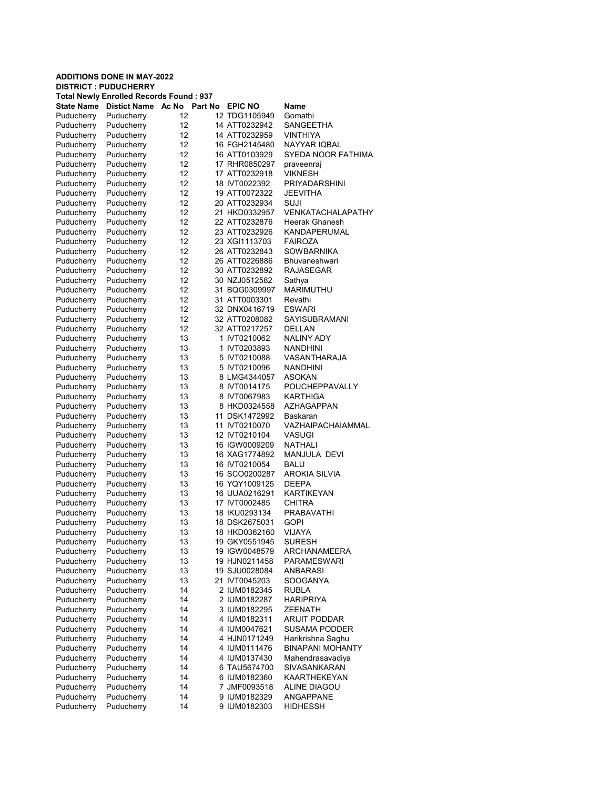| <b>ADDITIONS DONE IN MAY-2022</b><br><b>DISTRICT: PUDUCHERRY</b> |                                                |          |  |                               |                                 |  |  |
|------------------------------------------------------------------|------------------------------------------------|----------|--|-------------------------------|---------------------------------|--|--|
|                                                                  | <b>Total Newly Enrolled Records Found: 937</b> |          |  |                               |                                 |  |  |
| <b>State Name</b>                                                | <b>Distict Name</b>                            | Ac No    |  | Part No EPIC NO               | Name                            |  |  |
| Puducherry                                                       | Puducherry                                     | 12       |  | 12 TDG1105949                 | Gomathi                         |  |  |
| Puducherry                                                       | Puducherry                                     | 12       |  | 14 ATT0232942                 | SANGEETHA                       |  |  |
| Puducherry                                                       | Puducherry                                     | 12       |  | 14 ATT0232959                 | <b>VINTHIYA</b>                 |  |  |
| Puducherry                                                       | Puducherry                                     | 12       |  | 16 FGH2145480                 | NAYYAR IQBAL                    |  |  |
| Puducherry                                                       | Puducherry                                     | 12       |  | 16 ATT0103929                 | SYEDA NOOR FATHIMA              |  |  |
| Puducherry                                                       | Puducherry                                     | 12       |  | 17 RHR0850297                 | praveenraj                      |  |  |
| Puducherry                                                       | Puducherry                                     | 12       |  | 17 ATT0232918                 | <b>VIKNESH</b>                  |  |  |
| Puducherry                                                       | Puducherry                                     | 12       |  | 18 IVT0022392                 | PRIYADARSHINI                   |  |  |
| Puducherry                                                       | Puducherry                                     | 12       |  | 19 ATT0072322                 | JEEVITHA                        |  |  |
| Puducherry                                                       | Puducherry                                     | 12       |  | 20 ATT0232934                 | SUJI                            |  |  |
| Puducherry                                                       | Puducherry                                     | 12       |  | 21 HKD0332957                 | VENKATACHALAPATHY               |  |  |
| Puducherry                                                       | Puducherry                                     | 12       |  | 22 ATT0232876                 | Heerak Ghanesh                  |  |  |
| Puducherry                                                       | Puducherry                                     | 12       |  | 23 ATT0232926                 | KANDAPERUMAL                    |  |  |
| Puducherry                                                       | Puducherry                                     | 12       |  | 23 XGI1113703                 | <b>FAIROZA</b>                  |  |  |
| Puducherry                                                       | Puducherry                                     | 12       |  | 26 ATT0232843                 | SOWBARNIKA                      |  |  |
| Puducherry                                                       | Puducherry                                     | 12       |  | 26 ATT0226886                 | Bhuvaneshwari                   |  |  |
| Puducherry                                                       | Puducherry                                     | 12       |  | 30 ATT0232892                 | RAJASEGAR                       |  |  |
| Puducherry                                                       | Puducherry                                     | 12       |  | 30 NZJ0512582                 | Sathya                          |  |  |
| Puducherry                                                       | Puducherry                                     | 12       |  | 31 BQG0309997                 | MARIMUTHU                       |  |  |
| Puducherry                                                       | Puducherry                                     | 12       |  | 31 ATT0003301                 | Revathi                         |  |  |
| Puducherry                                                       | Puducherry                                     | 12       |  | 32 DNX0416719                 | ESWARI                          |  |  |
| Puducherry                                                       | Puducherry                                     | 12       |  | 32 ATT0208082                 | SAYISUBRAMANI                   |  |  |
| Puducherry                                                       | Puducherry                                     | 12       |  | 32 ATT0217257                 | DELLAN                          |  |  |
| Puducherry                                                       | Puducherry                                     | 13       |  | 1 IVT0210062                  | NALINY ADY                      |  |  |
| Puducherry<br>Puducherry                                         | Puducherry<br>Puducherry                       | 13<br>13 |  | 1 IVT0203893<br>5 IVT0210088  | <b>NANDHINI</b><br>VASANTHARAJA |  |  |
|                                                                  | Puducherry                                     | 13       |  | 5 IVT0210096                  | NANDHINI                        |  |  |
| Puducherry<br>Puducherry                                         | Puducherry                                     | 13       |  | 8 LMG4344057                  | ASOKAN                          |  |  |
| Puducherry                                                       | Puducherry                                     | 13       |  | 8 IVT0014175                  | POUCHEPPAVALLY                  |  |  |
| Puducherry                                                       | Puducherry                                     | 13       |  | 8 IVT0067983                  | KARTHIGA                        |  |  |
| Puducherry                                                       | Puducherry                                     | 13       |  | 8 HKD0324558                  | AZHAGAPPAN                      |  |  |
| Puducherry                                                       | Puducherry                                     | 13       |  | 11 DSK1472992                 | Baskaran                        |  |  |
| Puducherry                                                       | Puducherry                                     | 13       |  | 11 IVT0210070                 | VAZHAIPACHAIAMMAL               |  |  |
| Puducherry                                                       | Puducherry                                     | 13       |  | 12 IVT0210104                 | VASUGI                          |  |  |
| Puducherry                                                       | Puducherry                                     | 13       |  | 16 IGW0009209                 | NATHALI                         |  |  |
| Puducherry                                                       | Puducherry                                     | 13       |  | 16 XAG1774892                 | MANJULA DEVI                    |  |  |
| Puducherry                                                       | Puducherry                                     | 13       |  | 16 IVT0210054                 | BALU                            |  |  |
| Puducherry                                                       | Puducherry                                     | 13       |  | 16 SCO0200287                 | AROKIA SILVIA                   |  |  |
| Puducherry                                                       | Puducherry                                     | 13       |  | 16 YQY1009125                 | DEEPA                           |  |  |
| Puducherry                                                       | Puducherry                                     | 13       |  | 16 UUA0216291                 | KARTIKEYAN                      |  |  |
| Puducherry                                                       | Puducherry                                     | 13       |  | 17 IVT0002485                 | CHITRA                          |  |  |
| Puducherry                                                       | Puducherry                                     | 13       |  | 18 IKU0293134                 | PRABAVATHI                      |  |  |
| Puducherry                                                       | Puducherry                                     | 13       |  | 18 DSK2675031                 | <b>GOPI</b>                     |  |  |
| Puducherry                                                       | Puducherry                                     | 13       |  | 18 HKD0362160                 | VIJAYA                          |  |  |
| Puducherry                                                       | Puducherry                                     | 13       |  | 19 GKY0551945                 | SURESH                          |  |  |
| Puducherry                                                       | Puducherry                                     | 13       |  | 19 IGW0048579                 | ARCHANAMEERA                    |  |  |
| Puducherry                                                       | Puducherry                                     | 13       |  | 19 HJN0211458                 | <b>PARAMESWARI</b>              |  |  |
| Puducherry<br>Puducherry                                         | Puducherry                                     | 13       |  | 19 SJU0028084                 | ANBARASI                        |  |  |
|                                                                  | Puducherry<br>Puducherry                       | 13       |  | 21 IVT0045203<br>2 IUM0182345 | SOOGANYA                        |  |  |
| Puducherry<br>Puducherry                                         | Puducherry                                     | 14<br>14 |  | 2 IUM0182287                  | RUBLA<br>HARIPRIYA              |  |  |
| Puducherry                                                       | Puducherry                                     | 14       |  | 3 IUM0182295                  | ZEENATH                         |  |  |
| Puducherry                                                       | Puducherry                                     | 14       |  | 4 IUM0182311                  | <b>ARIJIT PODDAR</b>            |  |  |
| Puducherry                                                       | Puducherry                                     | 14       |  | 4 IUM0047621                  | SUSAMA PODDER                   |  |  |
| Puducherry                                                       | Puducherry                                     | 14       |  | 4 HJN0171249                  | Harikrishna Saghu               |  |  |
| Puducherry                                                       | Puducherry                                     | 14       |  | 4 IUM0111476                  | <b>BINAPANI MOHANTY</b>         |  |  |
| Puducherry                                                       | Puducherry                                     | 14       |  | 4 IUM0137430                  | Mahendrasavadiya                |  |  |
| Puducherry                                                       | Puducherry                                     | 14       |  | 6 TAU5674700                  | SIVASANKARAN                    |  |  |
| Puducherry                                                       | Puducherry                                     | 14       |  | 6 IUM0182360                  | KAARTHEKEYAN                    |  |  |
| Puducherry                                                       | Puducherry                                     | 14       |  | 7 JMF0093518                  | ALINE DIAGOU                    |  |  |
| Puducherry                                                       | Puducherry                                     | 14       |  | 9 IUM0182329                  | ANGAPPANE                       |  |  |
| Puducherry                                                       | Puducherry                                     | 14       |  | 9 IUM0182303                  | HIDHESSH                        |  |  |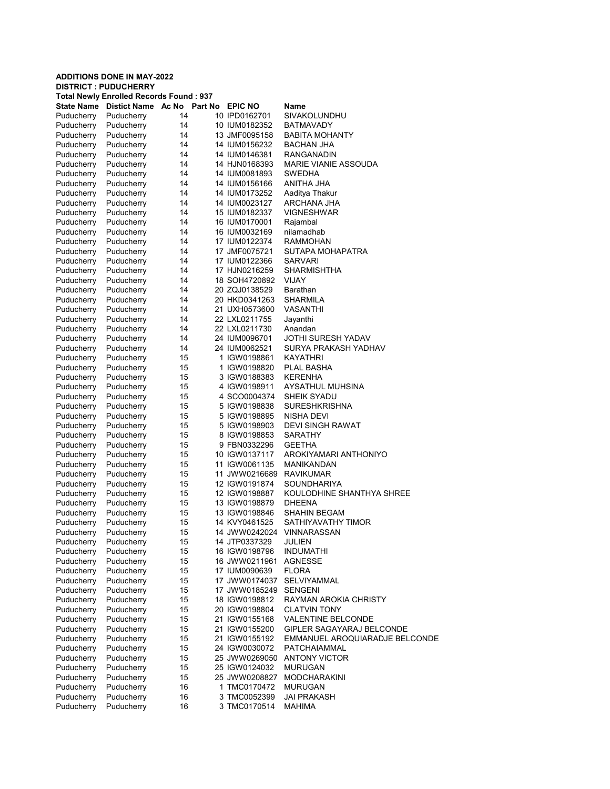#### ADDITIONS DONE IN MAY-2022 DISTRICT : PUDUCHERRY Total Newly Enrolled Records Found : 937 State Name Distict Name Ac No Part No EPIC NO Name Puducherry Puducherry 14 10 IPD0162701 SIVAKOLUNDHU Puducherry Puducherry 14 10 IUM0182352 BATMAVADY Puducherry Puducherry 14 13 JMF0095158 BABITA MOHANTY Puducherry Puducherry 14 14 IUM0156232 BACHAN JHA Puducherry Puducherry 14 14 IUM0146381 RANGANADIN Puducherry Puducherry 14 14 HJN0168393 MARIE VIANIE ASSOUDA<br>Puducherry Puducherry 14 14 IUM0081893 SWEDHA Puducherry Puducherry 14 14 IUM0081893 SWEDHA Puducherry Puducherry 14 14 IUM0156166 ANITHA JHA<br>Puducherry Puducherry 14 14 IUM0173252 Aaditva Thakur Puducherry Puducherry 14 14 IUM0173252 Aaditya Thakur 14 14 IUM0023127 Puducherry Puducherry 14 15 IUM0182337 VIGNESHWAR Puducherry 14 16 IUM0170001 Rajambal<br>Puducherry 14 16 IUM0032169 nilamadhab Puducherry Puducherry 14 16 IUM0032169 Puducherry Puducherry 14 17 IUM0122374 RAMMOHAN<br>Puducherry Puducherry 14 17 JMF0075721 SUTAPA-MOI Puducherry Puducherry 14 17 JMF0075721 SUTAPA MOHAPATRA Puducherry Puducherry 14 17 IUM0122366 SARVARI Puducherry Puducherry 14 17 HJN0216259 SHARMISHTHA<br>Puducherry Puducherry 14 18 SOH4720892 VIJAY Puducherry Puducherry 14 18 SOH4720892 VIJAY 20 ZQJ0138529 Puducherry Puducherry 14 20 HKD0341263 SHARMILA Puducherry Puducherry 14 21 UXH0573600 VASANTHI Puducherry Puducherry 14 22 LXL0211755 Puducherry Puducherry 14 22 LXL0211730 Anandan Puducherry Puducherry 14 24 IUM0096701 JOTHI SURESH YADAV Puducherry Puducherry 14 24 IUM0062521 SURYA PRAKASH YADHAV Puducherry Puducherry 15 1 IGW0198861 KAYATHRI Puducherry Puducherry 15 1 IGW0198820 PLAL BASHA Puducherry Puducherry 15 3 IGW0188383 KERENHA Puducherry Puducherry 15 4 IGW0198911 AYSATHUL MUHSINA Puducherry Puducherry 15 4 SCO0004374 SHEIK SYADU<br>Puducherry Puducherry 15 5 IGW0198838 SURESHKRISH Puducherry Puducherry 15 5 IGW0198838 SURESHKRISHNA<br>Puducherry Puducherry 15 5 IGW0198895 NISHA DEVI Puducherry 15 5 IGW0198895 Puducherry Puducherry 15 5 IGW0198903 DEVI SINGH RAWAT<br>Puducherry Puducherry 15 8 IGW0198853 SARATHY Puducherry Puducherry 15 8 IGW0198853 Puducherry Puducherry 15 9 FBN0332296 GEETHA Puducherry Puducherry 15 10 IGW0137117 AROKIYAMARI ANTHONIYO<br>Puducherry Puducherry 15 11 IGW0061135 MANIKANDAN Puducherry 15 11 IGW0061135 MANIKANDAN Puducherry Puducherry 15 11 JWW0216689 RAVIKUMAR Puducherry Puducherry 15 12 IGW0191874 SOUNDHARIYA<br>Puducherry Puducherry 15 12 IGW0198887 KOULODHINE S Puducherry Puducherry 15 12 IGW0198887 KOULODHINE SHANTHYA SHREE<br>Puducherry Puducherry 15 13 IGW0198879 DHEENA 13 IGW0198879 Puducherry Puducherry 15 13 IGW0198846 SHAHIN BEGAM Puducherry Puducherry 15 14 KVY0461525 SATHIYAVATHY TIMOR<br>Puducherry Puducherry 15 14 JWW0242024 VINNARASSAN 14 JWW0242024 Puducherry Puducherry 15 14 JTP0337329 JULIEN Puducherry Puducherry 15 16 IGW0198796 INDUMATHI Puducherry Puducherry 15 16 JWW0211961 AGNESSE Puducherry Puducherry 15 17 IUM0090639 FLORA Puducherry Puducherry 15 17 JWW0174037 SELVIYAMMAL Puducherry Puducherry 15 17 JWW0185249 SENGENI Puducherry Puducherry 15 18 IGW0198812 RAYMAN AROKIA CHRISTY Puducherry Puducherry 15 20 IGW0198804 CLATVIN TONY Puducherry Puducherry 15 21 IGW0155168 VALENTINE BELCONDE Puducherry Puducherry 15 21 IGW0155200 GIPLER SAGAYARAJ BELCONDE Puducherry Puducherry 15 21 IGW0155192 EMMANUEL AROQUIARADJE BELCONDE Puducherry Puducherry 15 24 IGW0030072 PATCHAIAMMAL<br>Puducherry Puducherry 15 25 JWW0269050 ANTONY VICTOR Puducherry Puducherry 15 25 JWW0269050 ANTONY VICTOR Puducherry Puducherry 15 25 IGW0124032 MURUGAN Puducherry Puducherry 15 25 JWW0208827 MODCHARAKINI

Puducherry Puducherry 16 1 TMC0170472 MURUGAN Puducherry Puducherry 16 3 TMC0052399 JAI PRAKASH

Puducherry Puducherry 16 3 TMC0170514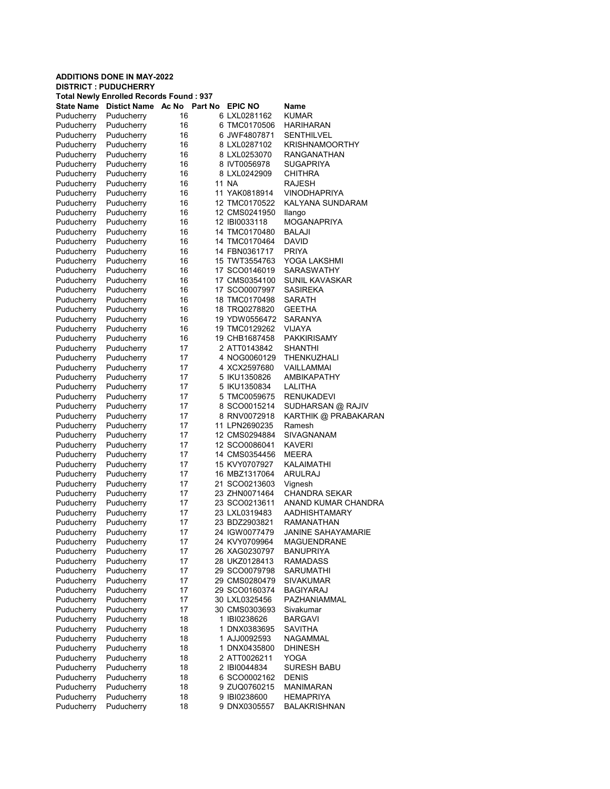| <b>Total Newly Enrolled Records Found: 937</b> |                          |          |         |                                |                           |  |
|------------------------------------------------|--------------------------|----------|---------|--------------------------------|---------------------------|--|
| State Name                                     | <b>Distict Name</b>      | Ac No    | Part No | <b>EPIC NO</b>                 | Name                      |  |
| Puducherry                                     | Puducherry               | 16       |         | 6 LXL0281162                   | <b>KUMAR</b>              |  |
| Puducherry                                     | Puducherry               | 16       |         | 6 TMC0170506                   | HARIHARAN                 |  |
| Puducherry                                     | Puducherry               | 16       |         | 6 JWF4807871                   | SENTHILVEL                |  |
| Puducherry                                     | Puducherry               | 16       |         | 8 LXL0287102                   | <b>KRISHNAMOORTHY</b>     |  |
| Puducherry                                     | Puducherry               | 16       |         | 8 LXL0253070                   | RANGANATHAN               |  |
| Puducherry                                     | Puducherry               | 16       |         | 8 IVT0056978                   | <b>SUGAPRIYA</b>          |  |
| Puducherry                                     | Puducherry               | 16       |         | 8 LXL0242909                   | CHITHRA                   |  |
| Puducherry                                     | Puducherry               | 16       |         | 11 NA                          | RAJESH                    |  |
| Puducherry                                     | Puducherry               | 16       |         | 11 YAK0818914                  | VINODHAPRIYA              |  |
| Puducherry                                     | Puducherry               | 16       |         | 12 TMC0170522                  | KALYANA SUNDARAM          |  |
| Puducherry                                     | Puducherry               | 16       |         | 12 CMS0241950                  | llango                    |  |
| Puducherry                                     | Puducherry               | 16       |         | 12 IBI0033118                  | MOGANAPRIYA               |  |
| Puducherry                                     | Puducherry               | 16       |         | 14 TMC0170480                  | BALAJI                    |  |
| Puducherry                                     | Puducherry               | 16       |         | 14 TMC0170464                  | <b>DAVID</b>              |  |
| Puducherry                                     | Puducherry               | 16       |         | 14 FBN0361717                  | <b>PRIYA</b>              |  |
| Puducherry                                     | Puducherry               | 16       |         | 15 TWT3554763                  | YOGA LAKSHMI              |  |
| Puducherry                                     | Puducherry               | 16       |         | 17 SCO0146019                  | <b>SARASWATHY</b>         |  |
| Puducherry                                     | Puducherry               | 16       |         | 17 CMS0354100                  | SUNIL KAVASKAR            |  |
| Puducherry                                     | Puducherry               | 16       |         | 17 SCO0007997                  | <b>SASIREKA</b>           |  |
| Puducherry                                     | Puducherry               | 16       |         | 18 TMC0170498                  | SARATH                    |  |
| Puducherry                                     | Puducherry               | 16       |         | 18 TRQ0278820                  | <b>GEETHA</b>             |  |
| Puducherry                                     | Puducherry               | 16       |         | 19 YDW0556472                  | <b>SARANYA</b>            |  |
| Puducherry                                     | Puducherry               | 16       |         | 19 TMC0129262                  | <b>VIJAYA</b>             |  |
| Puducherry                                     | Puducherry               | 16       |         | 19 CHB1687458                  | PAKKIRISAMY               |  |
| Puducherry                                     | Puducherry               | 17       |         | 2 ATT0143842                   | <b>SHANTHI</b>            |  |
| Puducherry                                     | Puducherry               | 17       |         | 4 NOG0060129                   | THENKUZHALI               |  |
| Puducherry                                     | Puducherry               | 17       |         | 4 XCX2597680                   | VAILLAMMAI                |  |
| Puducherry                                     | Puducherry               | 17       |         | 5 IKU1350826                   | AMBIKAPATHY               |  |
| Puducherry                                     | Puducherry               | 17       |         | 5 IKU1350834                   | LALITHA                   |  |
| Puducherry                                     | Puducherry               | 17       |         | 5 TMC0059675                   | RENUKADEVI                |  |
| Puducherry                                     | Puducherry               | 17       |         | 8 SCO0015214                   | SUDHARSAN @ RAJIV         |  |
| Puducherry                                     | Puducherry               | 17       |         | 8 RNV0072918                   | KARTHIK @ PRABAKARAN      |  |
| Puducherry                                     | Puducherry               | 17       |         | 11 LPN2690235                  | Ramesh                    |  |
| Puducherry                                     | Puducherry               | 17       |         | 12 CMS0294884                  | SIVAGNANAM                |  |
| Puducherry                                     | Puducherry               | 17       |         | 12 SCO0086041                  | <b>KAVERI</b>             |  |
| Puducherry                                     | Puducherry               | 17       |         | 14 CMS0354456                  | MEERA                     |  |
| Puducherry                                     | Puducherry<br>Puducherry | 17<br>17 |         | 15 KVY0707927<br>16 MBZ1317064 | KALAIMATHI<br>ARULRAJ     |  |
| Puducherry<br>Puducherry                       | Puducherry               | 17       |         | 21 SCO0213603                  | Vignesh                   |  |
| Puducherry                                     | Puducherry               | 17       |         | 23 ZHN0071464                  | <b>CHANDRA SEKAR</b>      |  |
| Puducherry                                     | Puducherry               | 17       |         | 23 SCO0213611                  | ANAND KUMAR CHANDRA       |  |
| Puducherry                                     | Puducherry               | 17       |         | 23 LXL0319483                  | AADHISHTAMARY             |  |
| Puducherry                                     | Puducherry               | 17       |         | 23 BDZ2903821                  | RAMANATHAN                |  |
| Puducherry                                     | Puducherry               | 17       |         | 24 IGW0077479                  | <b>JANINE SAHAYAMARIE</b> |  |
| Puducherry                                     | Puducherry               | 17       |         | 24 KVY0709964                  | MAGUENDRANE               |  |
| Puducherry                                     | Puducherry               | 17       |         | 26 XAG0230797                  | <b>BANUPRIYA</b>          |  |
| Puducherry                                     | Puducherry               | 17       |         | 28 UKZ0128413                  | RAMADASS                  |  |
| Puducherry                                     | Puducherry               | 17       |         | 29 SCO0079798                  | <b>SARUMATHI</b>          |  |
| Puducherry                                     | Puducherry               | 17       |         | 29 CMS0280479                  | SIVAKUMAR                 |  |
| Puducherry                                     | Puducherry               | 17       |         | 29 SCO0160374                  | <b>BAGIYARAJ</b>          |  |
| Puducherry                                     | Puducherry               | 17       |         | 30 LXL0325456                  | PAZHANIAMMAL              |  |
| Puducherry                                     | Puducherry               | 17       |         | 30 CMS0303693                  | Sivakumar                 |  |
| Puducherry                                     | Puducherry               | 18       |         | 1 IBI0238626                   | <b>BARGAVI</b>            |  |
| Puducherry                                     | Puducherry               | 18       |         | 1 DNX0383695                   | <b>SAVITHA</b>            |  |
| Puducherry                                     | Puducherry               | 18       |         | 1 AJJ0092593                   | NAGAMMAL                  |  |
| Puducherry                                     | Puducherry               | 18       |         | 1 DNX0435800                   | <b>DHINESH</b>            |  |
| Puducherry                                     | Puducherry               | 18       |         | 2 ATT0026211                   | YOGA                      |  |
| Puducherry                                     | Puducherry               | 18       |         | 2 IBI0044834                   | <b>SURESH BABU</b>        |  |
| Puducherry                                     | Puducherry               | 18       |         | 6 SCO0002162                   | <b>DENIS</b>              |  |
| Puducherry                                     | Puducherry               | 18       |         | 9 ZUQ0760215                   | <b>MANIMARAN</b>          |  |
| Puducherry                                     | Puducherry               | 18       |         | 9 IBI0238600                   | HEMAPRIYA                 |  |
| Puducherry                                     | Puducherry               | 18       |         | 9 DNX0305557                   | <b>BALAKRISHNAN</b>       |  |
|                                                |                          |          |         |                                |                           |  |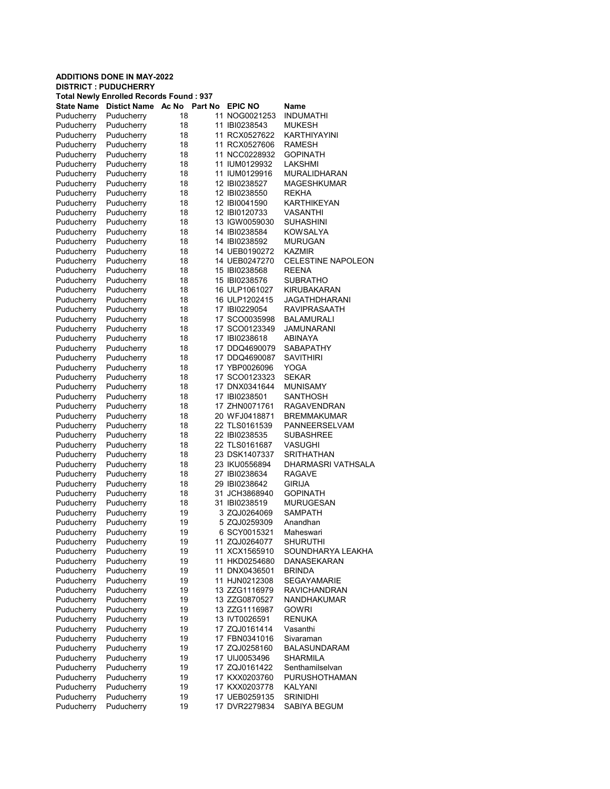| <b>Total Newly Enrolled Records Found: 937</b> |                     |       |         |                |                           |  |  |
|------------------------------------------------|---------------------|-------|---------|----------------|---------------------------|--|--|
| <b>State Name</b>                              | <b>Distict Name</b> | Ac No | Part No | <b>EPIC NO</b> | Name                      |  |  |
| Puducherry                                     | Puducherry          | 18    |         | 11 NOG0021253  | <b>INDUMATHI</b>          |  |  |
| Puducherry                                     | Puducherry          | 18    |         | 11 IBI0238543  | <b>MUKESH</b>             |  |  |
| Puducherry                                     | Puducherry          | 18    |         | 11 RCX0527622  | <b>KARTHIYAYINI</b>       |  |  |
| Puducherry                                     | Puducherry          | 18    |         | 11 RCX0527606  | <b>RAMESH</b>             |  |  |
| Puducherry                                     | Puducherry          | 18    |         | 11 NCC0228932  | <b>GOPINATH</b>           |  |  |
| Puducherry                                     | Puducherry          | 18    |         | 11 IUM0129932  | LAKSHMI                   |  |  |
| Puducherry                                     | Puducherry          | 18    |         | 11 IUM0129916  | <b>MURALIDHARAN</b>       |  |  |
| Puducherry                                     | Puducherry          | 18    |         | 12 IBI0238527  | <b>MAGESHKUMAR</b>        |  |  |
| Puducherry                                     | Puducherry          | 18    |         | 12 IBI0238550  | <b>REKHA</b>              |  |  |
| Puducherry                                     | Puducherry          | 18    |         | 12 IBI0041590  | <b>KARTHIKEYAN</b>        |  |  |
| Puducherry                                     | Puducherry          | 18    |         | 12 IBI0120733  | <b>VASANTHI</b>           |  |  |
| Puducherry                                     | Puducherry          | 18    |         | 13 IGW0059030  | <b>SUHASHINI</b>          |  |  |
| Puducherry                                     | Puducherry          | 18    |         | 14 IBI0238584  | <b>KOWSALYA</b>           |  |  |
| Puducherry                                     | Puducherry          | 18    |         | 14 IBI0238592  | <b>MURUGAN</b>            |  |  |
| Puducherry                                     | Puducherry          | 18    |         | 14 UEB0190272  | <b>KAZMIR</b>             |  |  |
| Puducherry                                     | Puducherry          | 18    |         | 14 UEB0247270  | <b>CELESTINE NAPOLEON</b> |  |  |
| Puducherry                                     | Puducherry          | 18    |         | 15 IBI0238568  | <b>REENA</b>              |  |  |
| Puducherry                                     | Puducherry          | 18    |         | 15 IBI0238576  | SUBRATHO                  |  |  |
| Puducherry                                     | Puducherry          | 18    |         | 16 ULP1061027  | <b>KIRUBAKARAN</b>        |  |  |
| Puducherry                                     | Puducherry          | 18    |         | 16 ULP1202415  | JAGATHDHARANI             |  |  |
| Puducherry                                     | Puducherry          | 18    |         | 17 IBI0229054  | <b>RAVIPRASAATH</b>       |  |  |
| Puducherry                                     | Puducherry          | 18    |         | 17 SCO0035998  | BALAMURALI                |  |  |
| Puducherry                                     | Puducherry          | 18    |         | 17 SCO0123349  | JAMUNARANI                |  |  |
| Puducherry                                     | Puducherry          | 18    |         | 17 IBI0238618  | <b>ABINAYA</b>            |  |  |
| Puducherry                                     | Puducherry          | 18    |         | 17 DDQ4690079  | <b>SABAPATHY</b>          |  |  |
| Puducherry                                     | Puducherry          | 18    |         | 17 DDQ4690087  | <b>SAVITHIRI</b>          |  |  |
|                                                |                     | 18    |         | 17 YBP0026096  | YOGA                      |  |  |
| Puducherry                                     | Puducherry          |       |         | 17 SCO0123323  | <b>SEKAR</b>              |  |  |
| Puducherry                                     | Puducherry          | 18    |         |                |                           |  |  |
| Puducherry                                     | Puducherry          | 18    |         | 17 DNX0341644  | <b>MUNISAMY</b>           |  |  |
| Puducherry                                     | Puducherry          | 18    |         | 17 IBI0238501  | SANTHOSH                  |  |  |
| Puducherry                                     | Puducherry          | 18    |         | 17 ZHN0071761  | <b>RAGAVENDRAN</b>        |  |  |
| Puducherry                                     | Puducherry          | 18    |         | 20 WFJ0418871  | <b>BREMMAKUMAR</b>        |  |  |
| Puducherry                                     | Puducherry          | 18    |         | 22 TLS0161539  | PANNEERSELVAM             |  |  |
| Puducherry                                     | Puducherry          | 18    |         | 22 IBI0238535  | <b>SUBASHREE</b>          |  |  |
| Puducherry                                     | Puducherry          | 18    |         | 22 TLS0161687  | VASUGHI                   |  |  |
| Puducherry                                     | Puducherry          | 18    |         | 23 DSK1407337  | <b>SRITHATHAN</b>         |  |  |
| Puducherry                                     | Puducherry          | 18    |         | 23 IKU0556894  | DHARMASRI VATHSALA        |  |  |
| Puducherry                                     | Puducherry          | 18    |         | 27 IBI0238634  | <b>RAGAVE</b>             |  |  |
| Puducherry                                     | Puducherry          | 18    |         | 29 IBI0238642  | GIRIJA                    |  |  |
| Puducherry                                     | Puducherry          | 18    |         | 31 JCH3868940  | <b>GOPINATH</b>           |  |  |
| Puducherry                                     | Puducherry          | 18    |         | 31 IBI0238519  | <b>MURUGESAN</b>          |  |  |
| Puducherry                                     | Puducherry          | 19    |         | 3 ZQJ0264069   | <b>SAMPATH</b>            |  |  |
| Puducherry                                     | Puducherry          | 19    |         | 5 ZQJ0259309   | Anandhan                  |  |  |
| Puducherry                                     | Puducherry          | 19    |         | 6 SCY0015321   | Maheswari                 |  |  |
| Puducherry                                     | Puducherry          | 19    |         | 11 ZQJ0264077  | <b>SHURUTHI</b>           |  |  |
| Puducherry                                     | Puducherry          | 19    |         | 11 XCX1565910  | SOUNDHARYA LEAKHA         |  |  |
| Puducherry                                     | Puducherry          | 19    |         | 11 HKD0254680  | DANASEKARAN               |  |  |
| Puducherry                                     | Puducherry          | 19    |         | 11 DNX0436501  | <b>BRINDA</b>             |  |  |
| Puducherry                                     | Puducherry          | 19    |         | 11 HJN0212308  | <b>SEGAYAMARIE</b>        |  |  |
| Puducherry                                     | Puducherry          | 19    |         | 13 ZZG1116979  | <b>RAVICHANDRAN</b>       |  |  |
| Puducherry                                     | Puducherry          | 19    |         | 13 ZZG0870527  | NANDHAKUMAR               |  |  |
| Puducherry                                     | Puducherry          | 19    |         | 13 ZZG1116987  | <b>GOWRI</b>              |  |  |
| Puducherry                                     | Puducherry          | 19    |         | 13 IVT0026591  | <b>RENUKA</b>             |  |  |
| Puducherry                                     | Puducherry          | 19    |         | 17 ZQJ0161414  | Vasanthi                  |  |  |
| Puducherry                                     | Puducherry          | 19    |         | 17 FBN0341016  | Sivaraman                 |  |  |
| Puducherry                                     | Puducherry          | 19    |         | 17 ZQJ0258160  | <b>BALASUNDARAM</b>       |  |  |
| Puducherry                                     | Puducherry          | 19    |         | 17 UIJ0053496  | <b>SHARMILA</b>           |  |  |
| Puducherry                                     | Puducherry          | 19    |         | 17 ZQJ0161422  | Senthamilselvan           |  |  |
| Puducherry                                     | Puducherry          | 19    |         | 17 KXX0203760  | <b>PURUSHOTHAMAN</b>      |  |  |
| Puducherry                                     | Puducherry          | 19    |         | 17 KXX0203778  | KALYANI                   |  |  |
| Puducherry                                     | Puducherry          | 19    |         | 17 UEB0259135  | <b>SRINIDHI</b>           |  |  |
| Puducherry                                     | Puducherry          | 19    |         | 17 DVR2279834  | SABIYA BEGUM              |  |  |
|                                                |                     |       |         |                |                           |  |  |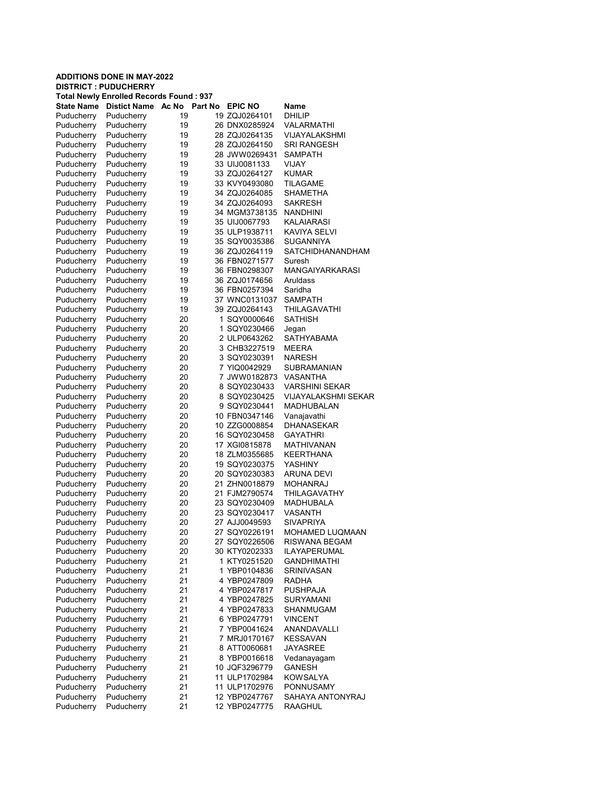| <b>Total Newly Enrolled Records Found: 937</b> |                          |          |         |                                |                               |  |  |
|------------------------------------------------|--------------------------|----------|---------|--------------------------------|-------------------------------|--|--|
| State Name                                     | <b>Distict Name</b>      | Ac No    | Part No | <b>EPIC NO</b>                 | Name                          |  |  |
| Puducherry                                     | Puducherry               | 19       |         | 19 ZQJ0264101                  | DHILIP                        |  |  |
| Puducherry                                     | Puducherry               | 19       |         | 26 DNX0285924                  | VALARMATHI                    |  |  |
| Puducherry                                     | Puducherry               | 19       |         | 28 ZQJ0264135                  | VIJAYALAKSHMI                 |  |  |
| Puducherry                                     | Puducherry               | 19       |         | 28 ZQJ0264150                  | SRI RANGESH                   |  |  |
| Puducherry                                     | Puducherry               | 19       |         | 28 JWW0269431                  | SAMPATH                       |  |  |
| Puducherry                                     | Puducherry               | 19       |         | 33 UIJ0081133                  | VIJAY                         |  |  |
| Puducherry                                     | Puducherry               | 19       |         | 33 ZQJ0264127                  | <b>KUMAR</b>                  |  |  |
| Puducherry                                     | Puducherry               | 19       |         | 33 KVY0493080                  | TILAGAME                      |  |  |
| Puducherry                                     | Puducherry               | 19       |         | 34 ZQJ0264085                  | <b>SHAMETHA</b>               |  |  |
| Puducherry                                     | Puducherry               | 19       |         | 34 ZQJ0264093                  | SAKRESH                       |  |  |
| Puducherry                                     | Puducherry               | 19       |         | 34 MGM3738135                  | <b>NANDHINI</b>               |  |  |
| Puducherry                                     | Puducherry               | 19       |         | 35 UIJ0067793                  | KALAIARASI                    |  |  |
| Puducherry                                     | Puducherry               | 19       |         | 35 ULP1938711                  | KAVIYA SELVI                  |  |  |
| Puducherry                                     | Puducherry               | 19       |         | 35 SQY0035386                  | SUGANNIYA                     |  |  |
| Puducherry                                     | Puducherry               | 19       |         | 36 ZQJ0264119                  | SATCHIDHANANDHAM              |  |  |
| Puducherry                                     | Puducherry               | 19       |         | 36 FBN0271577                  | Suresh                        |  |  |
| Puducherry                                     | Puducherry               | 19       |         | 36 FBN0298307                  | MANGAIYARKARASI               |  |  |
| Puducherry                                     | Puducherry               | 19       |         | 36 ZQJ0174656                  | Aruldass                      |  |  |
| Puducherry                                     | Puducherry               | 19       |         | 36 FBN0257394                  | Saridha                       |  |  |
| Puducherry                                     | Puducherry               | 19       |         | 37 WNC0131037                  | <b>SAMPATH</b>                |  |  |
| Puducherry                                     | Puducherry               | 19       |         | 39 ZQJ0264143                  | <b>THILAGAVATHI</b>           |  |  |
| Puducherry                                     | Puducherry               | 20       |         | 1 SQY0000646                   | <b>SATHISH</b>                |  |  |
| Puducherry                                     | Puducherry               | 20       |         | 1 SQY0230466                   | Jegan                         |  |  |
| Puducherry                                     | Puducherry               | 20       |         | 2 ULP0643262                   | SATHYABAMA                    |  |  |
| Puducherry                                     | Puducherry               | 20       |         | 3 CHB3227519                   | MEERA                         |  |  |
| Puducherry                                     | Puducherry               | 20       |         | 3 SQY0230391                   | <b>NARESH</b>                 |  |  |
| Puducherry                                     | Puducherry               | 20       |         | 7 YIQ0042929                   | SUBRAMANIAN                   |  |  |
| Puducherry                                     | Puducherry               | 20       |         | 7 JWW0182873                   | <b>VASANTHA</b>               |  |  |
| Puducherry                                     | Puducherry               | 20       |         | 8 SQY0230433                   | <b>VARSHINI SEKAR</b>         |  |  |
| Puducherry                                     | Puducherry               | 20       |         | 8 SQY0230425                   | <b>VIJAYALAKSHMI SEKAR</b>    |  |  |
| Puducherry                                     | Puducherry               | 20       |         | 9 SQY0230441                   | MADHUBALAN                    |  |  |
| Puducherry                                     | Puducherry               | 20       |         | 10 FBN0347146                  | Vanajavathi                   |  |  |
| Puducherry                                     | Puducherry               | 20       |         | 10 ZZG0008854                  | <b>DHANASEKAR</b>             |  |  |
| Puducherry                                     | Puducherry               | 20       |         | 16 SQY0230458                  | GAYATHRI                      |  |  |
| Puducherry                                     | Puducherry               | 20       |         | 17 XGI0815878                  | MATHIVANAN                    |  |  |
| Puducherry                                     | Puducherry               | 20       |         | 18 ZLM0355685                  | KEERTHANA                     |  |  |
| Puducherry                                     | Puducherry               | 20       |         | 19 SQY0230375                  | YASHINY                       |  |  |
| Puducherry                                     | Puducherry               | 20       |         | 20 SQY0230383                  | ARUNA DEVI                    |  |  |
| Puducherry                                     | Puducherry               | 20       |         | 21 ZHN0018879                  | MOHANRAJ                      |  |  |
| Puducherry                                     | Puducherry               | 20       |         | 21 FJM2790574                  | THILAGAVATHY                  |  |  |
| Puducherry                                     | Puducherry               | 20       |         | 23 SQY0230409                  | MADHUBALA                     |  |  |
| Puducherry                                     | Puducherry               | 20       |         | 23 SQY0230417                  | VASANTH                       |  |  |
| Puducherry                                     | Puducherry               | 20       |         | 27 AJJ0049593                  | SIVAPRIYA                     |  |  |
| Puducherry                                     | Puducherry               | 20       |         | 27 SQY0226191                  | MOHAMED LUQMAAN               |  |  |
| Puducherry                                     | Puducherry               | 20       |         | 27 SQY0226506                  | RISWANA BEGAM                 |  |  |
| Puducherry                                     | Puducherry               | 20       |         | 30 KTY0202333                  | <b>ILAYAPERUMAL</b>           |  |  |
| Puducherry                                     | Puducherry               | 21       |         | 1 KTY0251520                   | <b>GANDHIMATHI</b>            |  |  |
| Puducherry                                     | Puducherry               | 21       |         | 1 YBP0104836                   | SRINIVASAN                    |  |  |
| Puducherry                                     | Puducherry               | 21       |         | 4 YBP0247809                   | RADHA                         |  |  |
| Puducherry                                     | Puducherry               | 21       |         | 4 YBP0247817                   | PUSHPAJA                      |  |  |
| Puducherry                                     | Puducherry               | 21       |         | 4 YBP0247825                   | <b>SURYAMANI</b>              |  |  |
| Puducherry                                     | Puducherry               | 21       |         | 4 YBP0247833                   | SHANMUGAM                     |  |  |
| Puducherry                                     | Puducherry<br>Puducherry | 21       |         | 6 YBP0247791                   | <b>VINCENT</b><br>ANANDAVALLI |  |  |
| Puducherry                                     |                          | 21       |         | 7 YBP0041624                   |                               |  |  |
| Puducherry                                     | Puducherry               | 21       |         | 7 MRJ0170167                   | <b>KESSAVAN</b>               |  |  |
| Puducherry                                     | Puducherry               | 21       |         | 8 ATT0060681                   | <b>JAYASREE</b>               |  |  |
| Puducherry                                     | Puducherry               | 21       |         | 8 YBP0016618                   | Vedanayagam<br><b>GANESH</b>  |  |  |
| Puducherry                                     | Puducherry               | 21       |         | 10 JQF3296779                  |                               |  |  |
| Puducherry<br>Puducherry                       | Puducherry<br>Puducherry | 21<br>21 |         | 11 ULP1702984<br>11 ULP1702976 | <b>KOWSALYA</b><br>PONNUSAMY  |  |  |
| Puducherry                                     | Puducherry               | 21       |         | 12 YBP0247767                  | SAHAYA ANTONYRAJ              |  |  |
| Puducherry                                     | Puducherry               | 21       |         | 12 YBP0247775                  | RAAGHUL                       |  |  |
|                                                |                          |          |         |                                |                               |  |  |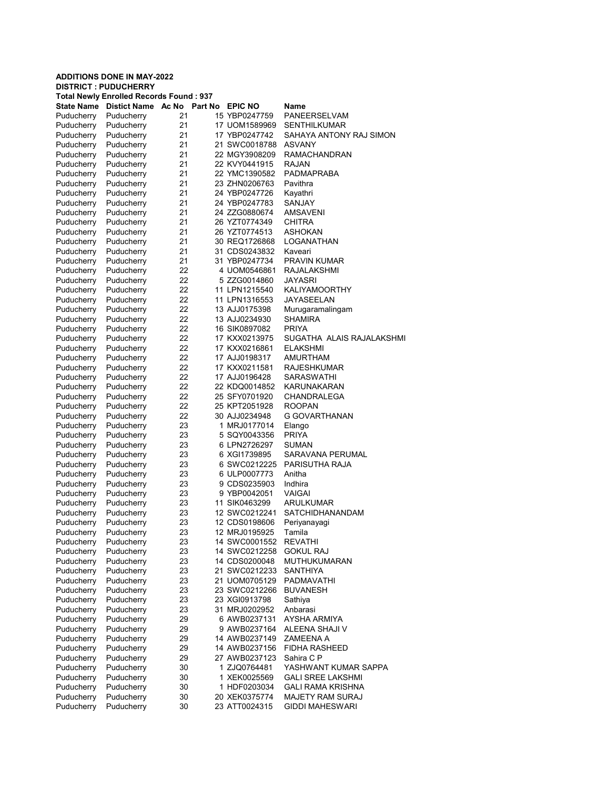#### ADDITIONS DONE IN MAY-2022 DISTRICT : PUDUCHERRY Total Newly Enrolled Records Found : 937 State Name Distict Name Ac No Part No EPIC NO Name Puducherry Puducherry 21 15 YBP0247759 PANEERSELVAM Puducherry Puducherry 21 17 UOM1589969 SENTHILKUMAR Puducherry Puducherry 21 17 YBP0247742 SAHAYA ANTONY RAJ SIMON Puducherry Puducherry 21 21 SWC0018788 ASVANY Puducherry Puducherry 21 22 MGY3908209 RAMACHANDRAN Puducherry Puducherry 21 22 KVY0441915 RAJAN Puducherry Puducherry 21 22 YMC1390582 PADMAPRABA Puducherry Puducherry 21 23 ZHN0206763 Pavithra Puducherry 21 24 YBP0247726 Kayathri<br>Puducherry 21 24 YBP0247783 SANJAY Puducherry Puducherry 21 24 YBP0247783 Puducherry Puducherry 21 24 ZZG0880674 AMSAVENI Puducherry 21 26 YZT0774349 CHITRA Puducherry Puducherry 21 26 YZT0774513 ASHOKAN Puducherry Puducherry 21 30 REQ1726868 LOGANATHAN<br>Puducherry Puducherry 21 31 CDS0243832 Kaveari Puducherry Puducherry 21 31 CDS0243832 Kaveari Puducherry Puducherry 21 31 YBP0247734 PRAVIN KUMAR Puducherry Puducherry 22 4 UOM0546861 RAJALAKSHMI<br>Puducherry Puducherry 22 5 77G0014860 JAYASRI Puducherry Puducherry 22 5 ZZG0014860 JAYASRI KALIYAMOORTHY Puducherry Puducherry 22 11 LPN1316553 JAYASEELAN Puducherry Puducherry 22 13 AJJ0175398 Murugaramalingam Puducherry Puducherry 22 13 AJJ0234930 SHAMIRA Puducherry Puducherry 22 16 SIK0897082 PRIYA Puducherry Puducherry 22 17 KXX0213975 SUGATHA ALAIS RAJALAKSHMI Puducherry Puducherry 22 17 KXX0216861 ELAKSHMI Puducherry Puducherry 22 17 AJJ0198317 AMURTHAM Puducherry Puducherry 22 17 KXX0211581 RAJESHKUMAR Puducherry Puducherry 22 17 AJJ0196428 SARASWATHI Puducherry Puducherry 22 22 KDQ0014852 KARUNAKARAN Puducherry Puducherry 22 25 SFY0701920 CHANDRALEGA<br>Puducherry Puducherry 22 25 KPT2051928 ROOPAN Puducherry Puducherry 22 25 KPT2051928 ROOPAN<br>Puducherry Puducherry 22 30 AJJ0234948 GGOVAR Puducherry 22 30 AJJ0234948 G GOVARTHANAN Puducherry Puducherry 23 1 MRJ0177014 Elango Puducherry Puducherry 23 5 SQY0043356 PRIYA Puducherry Puducherry 23 6 LPN2726297 Puducherry Puducherry 23 6 XGI1739895 SARAVANA PERUMAL<br>Puducherry Puducherry 23 6 SWC0212225 PARISUTHA RAJA Puducherry Puducherry 23 6 SWC0212225 PARISUTHA RAJA Puducherry Puducherry 23 6 ULP0007773 Anitha Puducherry Puducherry 23 9 CDS0235903 Indhira Puducherry Puducherry 23 9 YBP0042051 VAIGAI 11 SIK0463299 Puducherry Puducherry 23 12 SWC0212241 SATCHIDHANANDAM Puducherry Puducherry 23 12 CDS0198606 Periyanayagi 12 MRJ0195925 Puducherry Puducherry 23 14 SWC0001552 REVATHI Puducherry Puducherry 23 14 SWC0212258 GOKUL RAJ Puducherry Puducherry 23 14 CDS0200048 MUTHUKUMARAN Puducherry Puducherry 23 21 SWC0212233 SANTHIYA Puducherry Puducherry 23 21 UOM0705129 PADMAVATHI Puducherry Puducherry 23 23 SWC0212266 BUVANESH Puducherry Puducherry 23 23 XGI0913798 Sathiya Puducherry Puducherry 23 31 MRJ0202952 Anbarasi Puducherry Puducherry 29 6 AWB0237131 AYSHA ARMIYA Puducherry Puducherry 29 9 AWB0237164 ALEENA SHAJI V Puducherry Puducherry 29 14 AWB0237149 ZAMEENA A Puducherry Puducherry 29 14 AWB0237156 FIDHA RASHEED Puducherry Puducherry 29 27 AWB0237123 Sahira C P Puducherry Puducherry 30 1 ZJQ0764481 YASHWANT KUMAR SAPPA Puducherry Puducherry 30 1 XEK0025569 GALI SREE LAKSHMI Puducherry Puducherry 30 1 HDF0203034 GALI RAMA KRISHNA Puducherry Puducherry 30 20 XEK0375774 MAJETY RAM SURAJ Puducherry Puducherry 30 23 ATT0024315 GIDDI MAHESWARI